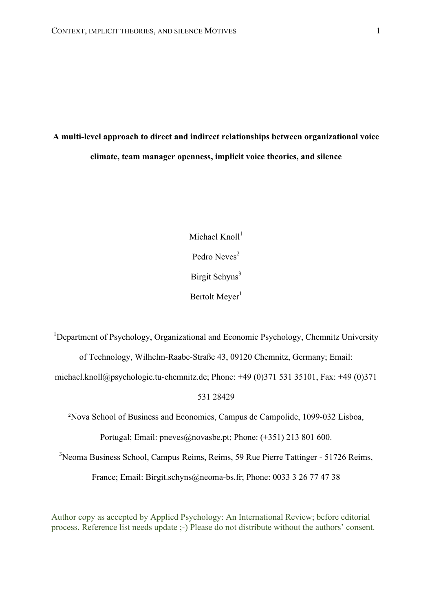# **A multi-level approach to direct and indirect relationships between organizational voice climate, team manager openness, implicit voice theories, and silence**

Michael  $Knol1<sup>1</sup>$ Pedro Neves<sup>2</sup> Birgit Schyns<sup>3</sup> Bertolt Meyer<sup>1</sup>

<sup>1</sup>Department of Psychology, Organizational and Economic Psychology, Chemnitz University of Technology, Wilhelm-Raabe-Straße 43, 09120 Chemnitz, Germany; Email:

michael.knoll@psychologie.tu-chemnitz.de; Phone: +49 (0)371 531 35101, Fax: +49 (0)371

#### 531 28429

²Nova School of Business and Economics, Campus de Campolide, 1099-032 Lisboa,

Portugal; Email: pneves@novasbe.pt; Phone: (+351) 213 801 600.

3 Neoma Business School, Campus Reims, Reims, 59 Rue Pierre Tattinger - 51726 Reims,

France; Email: Birgit.schyns@neoma-bs.fr; Phone: 0033 3 26 77 47 38

Author copy as accepted by Applied Psychology: An International Review; before editorial process. Reference list needs update ;-) Please do not distribute without the authors' consent.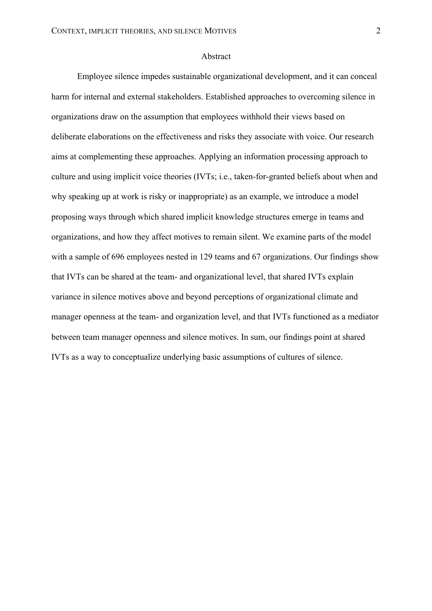#### Abstract

Employee silence impedes sustainable organizational development, and it can conceal harm for internal and external stakeholders. Established approaches to overcoming silence in organizations draw on the assumption that employees withhold their views based on deliberate elaborations on the effectiveness and risks they associate with voice. Our research aims at complementing these approaches. Applying an information processing approach to culture and using implicit voice theories (IVTs; i.e., taken-for-granted beliefs about when and why speaking up at work is risky or inappropriate) as an example, we introduce a model proposing ways through which shared implicit knowledge structures emerge in teams and organizations, and how they affect motives to remain silent. We examine parts of the model with a sample of 696 employees nested in 129 teams and 67 organizations. Our findings show that IVTs can be shared at the team- and organizational level, that shared IVTs explain variance in silence motives above and beyond perceptions of organizational climate and manager openness at the team- and organization level, and that IVTs functioned as a mediator between team manager openness and silence motives. In sum, our findings point at shared IVTs as a way to conceptualize underlying basic assumptions of cultures of silence.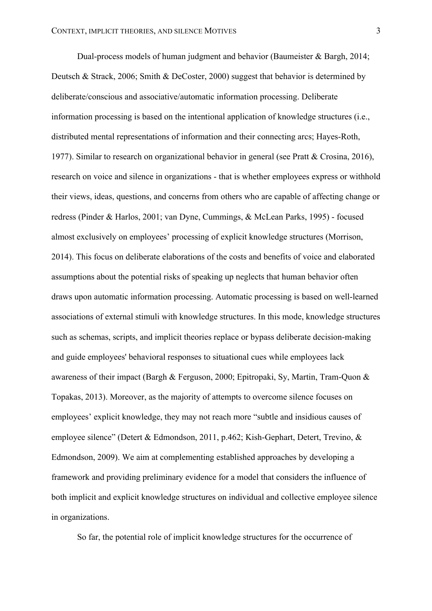Dual-process models of human judgment and behavior (Baumeister & Bargh, 2014; Deutsch & Strack, 2006; Smith & DeCoster, 2000) suggest that behavior is determined by deliberate/conscious and associative/automatic information processing. Deliberate information processing is based on the intentional application of knowledge structures (i.e., distributed mental representations of information and their connecting arcs; Hayes-Roth, 1977). Similar to research on organizational behavior in general (see Pratt & Crosina, 2016), research on voice and silence in organizations - that is whether employees express or withhold their views, ideas, questions, and concerns from others who are capable of affecting change or redress (Pinder & Harlos, 2001; van Dyne, Cummings, & McLean Parks, 1995) - focused almost exclusively on employees' processing of explicit knowledge structures (Morrison, 2014). This focus on deliberate elaborations of the costs and benefits of voice and elaborated assumptions about the potential risks of speaking up neglects that human behavior often draws upon automatic information processing. Automatic processing is based on well-learned associations of external stimuli with knowledge structures. In this mode, knowledge structures such as schemas, scripts, and implicit theories replace or bypass deliberate decision-making and guide employees' behavioral responses to situational cues while employees lack awareness of their impact (Bargh & Ferguson, 2000; Epitropaki, Sy, Martin, Tram-Quon & Topakas, 2013). Moreover, as the majority of attempts to overcome silence focuses on employees' explicit knowledge, they may not reach more "subtle and insidious causes of employee silence" (Detert & Edmondson, 2011, p.462; Kish-Gephart, Detert, Trevino, & Edmondson, 2009). We aim at complementing established approaches by developing a framework and providing preliminary evidence for a model that considers the influence of both implicit and explicit knowledge structures on individual and collective employee silence in organizations.

So far, the potential role of implicit knowledge structures for the occurrence of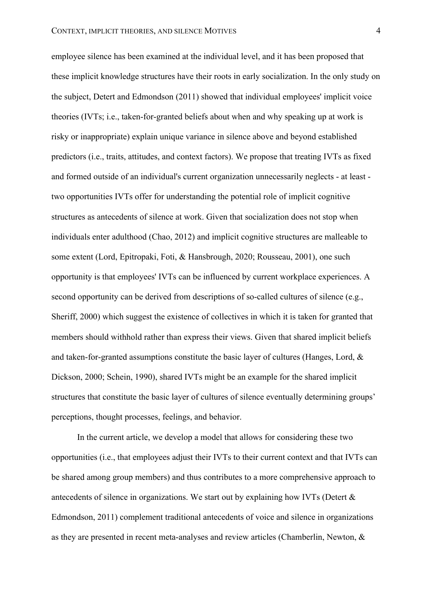employee silence has been examined at the individual level, and it has been proposed that these implicit knowledge structures have their roots in early socialization. In the only study on the subject, Detert and Edmondson (2011) showed that individual employees' implicit voice theories (IVTs; i.e., taken-for-granted beliefs about when and why speaking up at work is risky or inappropriate) explain unique variance in silence above and beyond established predictors (i.e., traits, attitudes, and context factors). We propose that treating IVTs as fixed and formed outside of an individual's current organization unnecessarily neglects - at least two opportunities IVTs offer for understanding the potential role of implicit cognitive structures as antecedents of silence at work. Given that socialization does not stop when individuals enter adulthood (Chao, 2012) and implicit cognitive structures are malleable to some extent (Lord, Epitropaki, Foti, & Hansbrough, 2020; Rousseau, 2001), one such opportunity is that employees' IVTs can be influenced by current workplace experiences. A second opportunity can be derived from descriptions of so-called cultures of silence (e.g., Sheriff, 2000) which suggest the existence of collectives in which it is taken for granted that members should withhold rather than express their views. Given that shared implicit beliefs and taken-for-granted assumptions constitute the basic layer of cultures (Hanges, Lord, & Dickson, 2000; Schein, 1990), shared IVTs might be an example for the shared implicit structures that constitute the basic layer of cultures of silence eventually determining groups' perceptions, thought processes, feelings, and behavior.

In the current article, we develop a model that allows for considering these two opportunities (i.e., that employees adjust their IVTs to their current context and that IVTs can be shared among group members) and thus contributes to a more comprehensive approach to antecedents of silence in organizations. We start out by explaining how IVTs (Detert & Edmondson, 2011) complement traditional antecedents of voice and silence in organizations as they are presented in recent meta-analyses and review articles (Chamberlin, Newton, &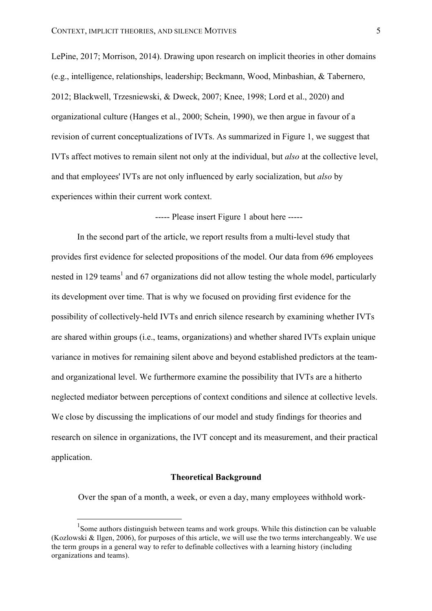LePine, 2017; Morrison, 2014). Drawing upon research on implicit theories in other domains (e.g., intelligence, relationships, leadership; Beckmann, Wood, Minbashian, & Tabernero, 2012; Blackwell, Trzesniewski, & Dweck, 2007; Knee, 1998; Lord et al., 2020) and organizational culture (Hanges et al., 2000; Schein, 1990), we then argue in favour of a revision of current conceptualizations of IVTs. As summarized in Figure 1, we suggest that IVTs affect motives to remain silent not only at the individual, but *also* at the collective level, and that employees' IVTs are not only influenced by early socialization, but *also* by experiences within their current work context.

----- Please insert Figure 1 about here -----

In the second part of the article, we report results from a multi-level study that provides first evidence for selected propositions of the model. Our data from 696 employees nested in 129 teams<sup>1</sup> and 67 organizations did not allow testing the whole model, particularly its development over time. That is why we focused on providing first evidence for the possibility of collectively-held IVTs and enrich silence research by examining whether IVTs are shared within groups (i.e., teams, organizations) and whether shared IVTs explain unique variance in motives for remaining silent above and beyond established predictors at the teamand organizational level. We furthermore examine the possibility that IVTs are a hitherto neglected mediator between perceptions of context conditions and silence at collective levels. We close by discussing the implications of our model and study findings for theories and research on silence in organizations, the IVT concept and its measurement, and their practical application.

#### **Theoretical Background**

Over the span of a month, a week, or even a day, many employees withhold work-

<sup>&</sup>lt;sup>1</sup> Some authors distinguish between teams and work groups. While this distinction can be valuable (Kozlowski & Ilgen, 2006), for purposes of this article, we will use the two terms interchangeably. We use the term groups in a general way to refer to definable collectives with a learning history (including organizations and teams).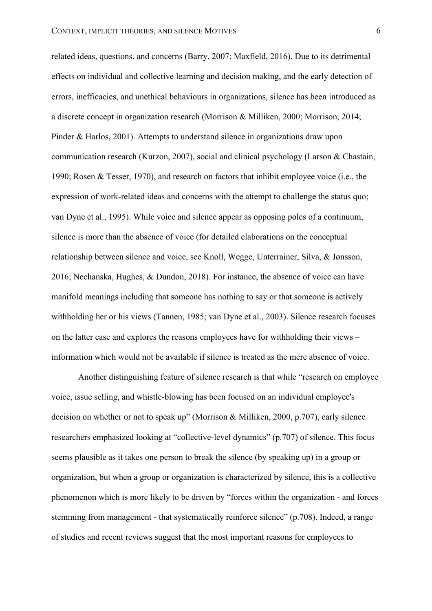related ideas, questions, and concerns (Barry, 2007; Maxfield, 2016). Due to its detrimental effects on individual and collective learning and decision making, and the early detection of errors, inefficacies, and unethical behaviours in organizations, silence has been introduced as a discrete concept in organization research (Morrison & Milliken, 2000; Morrison, 2014; Pinder & Harlos, 2001). Attempts to understand silence in organizations draw upon communication research (Kurzon, 2007), social and clinical psychology (Larson & Chastain, 1990; Rosen & Tesser, 1970), and research on factors that inhibit employee voice (i.e., the expression of work-related ideas and concerns with the attempt to challenge the status quo; van Dyne et al., 1995). While voice and silence appear as opposing poles of a continuum, silence is more than the absence of voice (for detailed elaborations on the conceptual relationship between silence and voice, see Knoll, Wegge, Unterrainer, Silva, & Jønsson, 2016; Nechanska, Hughes, & Dundon, 2018). For instance, the absence of voice can have manifold meanings including that someone has nothing to say or that someone is actively withholding her or his views (Tannen, 1985; van Dyne et al., 2003). Silence research focuses on the latter case and explores the reasons employees have for withholding their views – information which would not be available if silence is treated as the mere absence of voice.

Another distinguishing feature of silence research is that while "research on employee voice, issue selling, and whistle-blowing has been focused on an individual employee's decision on whether or not to speak up" (Morrison & Milliken, 2000, p.707), early silence researchers emphasized looking at "collective-level dynamics" (p.707) of silence. This focus seems plausible as it takes one person to break the silence (by speaking up) in a group or organization, but when a group or organization is characterized by silence, this is a collective phenomenon which is more likely to be driven by "forces within the organization - and forces stemming from management - that systematically reinforce silence" (p.708). Indeed, a range of studies and recent reviews suggest that the most important reasons for employees to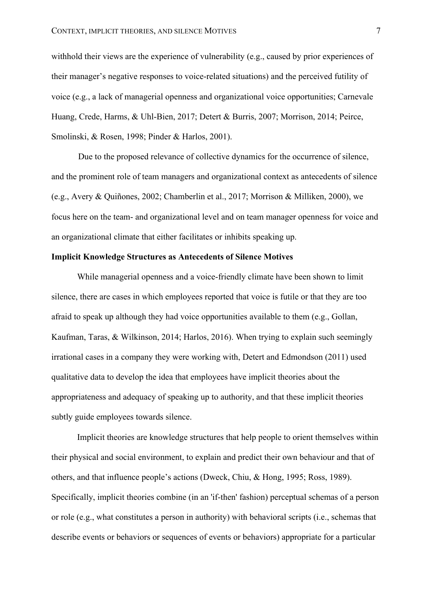withhold their views are the experience of vulnerability (e.g., caused by prior experiences of their manager's negative responses to voice-related situations) and the perceived futility of voice (e.g., a lack of managerial openness and organizational voice opportunities; Carnevale Huang, Crede, Harms, & Uhl-Bien, 2017; Detert & Burris, 2007; Morrison, 2014; Peirce, Smolinski, & Rosen, 1998; Pinder & Harlos, 2001).

Due to the proposed relevance of collective dynamics for the occurrence of silence, and the prominent role of team managers and organizational context as antecedents of silence (e.g., Avery & Quiñones, 2002; Chamberlin et al., 2017; Morrison & Milliken, 2000), we focus here on the team- and organizational level and on team manager openness for voice and an organizational climate that either facilitates or inhibits speaking up.

#### **Implicit Knowledge Structures as Antecedents of Silence Motives**

While managerial openness and a voice-friendly climate have been shown to limit silence, there are cases in which employees reported that voice is futile or that they are too afraid to speak up although they had voice opportunities available to them (e.g., Gollan, Kaufman, Taras, & Wilkinson, 2014; Harlos, 2016). When trying to explain such seemingly irrational cases in a company they were working with, Detert and Edmondson (2011) used qualitative data to develop the idea that employees have implicit theories about the appropriateness and adequacy of speaking up to authority, and that these implicit theories subtly guide employees towards silence.

Implicit theories are knowledge structures that help people to orient themselves within their physical and social environment, to explain and predict their own behaviour and that of others, and that influence people's actions (Dweck, Chiu, & Hong, 1995; Ross, 1989). Specifically, implicit theories combine (in an 'if-then' fashion) perceptual schemas of a person or role (e.g., what constitutes a person in authority) with behavioral scripts (i.e., schemas that describe events or behaviors or sequences of events or behaviors) appropriate for a particular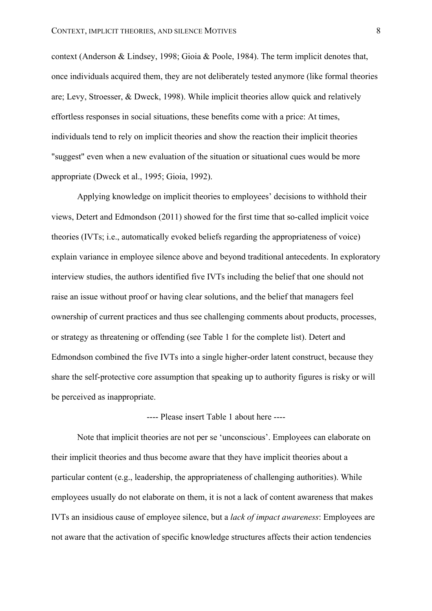context (Anderson & Lindsey, 1998; Gioia & Poole, 1984). The term implicit denotes that, once individuals acquired them, they are not deliberately tested anymore (like formal theories are; Levy, Stroesser, & Dweck, 1998). While implicit theories allow quick and relatively effortless responses in social situations, these benefits come with a price: At times, individuals tend to rely on implicit theories and show the reaction their implicit theories "suggest" even when a new evaluation of the situation or situational cues would be more appropriate (Dweck et al., 1995; Gioia, 1992).

Applying knowledge on implicit theories to employees' decisions to withhold their views, Detert and Edmondson (2011) showed for the first time that so-called implicit voice theories (IVTs; i.e., automatically evoked beliefs regarding the appropriateness of voice) explain variance in employee silence above and beyond traditional antecedents. In exploratory interview studies, the authors identified five IVTs including the belief that one should not raise an issue without proof or having clear solutions, and the belief that managers feel ownership of current practices and thus see challenging comments about products, processes, or strategy as threatening or offending (see Table 1 for the complete list). Detert and Edmondson combined the five IVTs into a single higher-order latent construct, because they share the self-protective core assumption that speaking up to authority figures is risky or will be perceived as inappropriate.

## ---- Please insert Table 1 about here ----

Note that implicit theories are not per se 'unconscious'. Employees can elaborate on their implicit theories and thus become aware that they have implicit theories about a particular content (e.g., leadership, the appropriateness of challenging authorities). While employees usually do not elaborate on them, it is not a lack of content awareness that makes IVTs an insidious cause of employee silence, but a *lack of impact awareness*: Employees are not aware that the activation of specific knowledge structures affects their action tendencies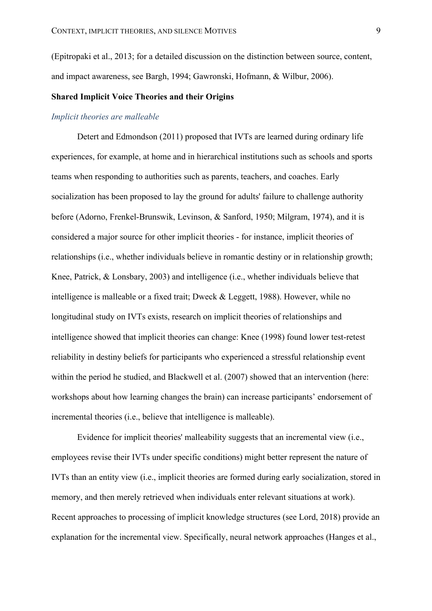(Epitropaki et al., 2013; for a detailed discussion on the distinction between source, content, and impact awareness, see Bargh, 1994; Gawronski, Hofmann, & Wilbur, 2006).

# **Shared Implicit Voice Theories and their Origins**

## *Implicit theories are malleable*

Detert and Edmondson (2011) proposed that IVTs are learned during ordinary life experiences, for example, at home and in hierarchical institutions such as schools and sports teams when responding to authorities such as parents, teachers, and coaches. Early socialization has been proposed to lay the ground for adults' failure to challenge authority before (Adorno, Frenkel-Brunswik, Levinson, & Sanford, 1950; Milgram, 1974), and it is considered a major source for other implicit theories - for instance, implicit theories of relationships (i.e., whether individuals believe in romantic destiny or in relationship growth; Knee, Patrick, & Lonsbary, 2003) and intelligence (i.e., whether individuals believe that intelligence is malleable or a fixed trait; Dweck & Leggett, 1988). However, while no longitudinal study on IVTs exists, research on implicit theories of relationships and intelligence showed that implicit theories can change: Knee (1998) found lower test-retest reliability in destiny beliefs for participants who experienced a stressful relationship event within the period he studied, and Blackwell et al. (2007) showed that an intervention (here: workshops about how learning changes the brain) can increase participants' endorsement of incremental theories (i.e., believe that intelligence is malleable).

Evidence for implicit theories' malleability suggests that an incremental view (i.e., employees revise their IVTs under specific conditions) might better represent the nature of IVTs than an entity view (i.e., implicit theories are formed during early socialization, stored in memory, and then merely retrieved when individuals enter relevant situations at work). Recent approaches to processing of implicit knowledge structures (see Lord, 2018) provide an explanation for the incremental view. Specifically, neural network approaches (Hanges et al.,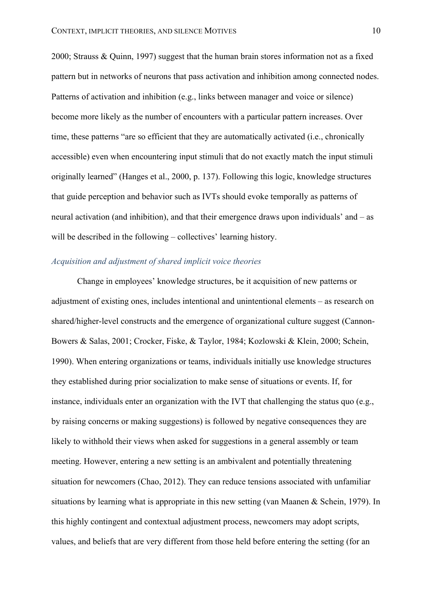2000; Strauss & Quinn, 1997) suggest that the human brain stores information not as a fixed pattern but in networks of neurons that pass activation and inhibition among connected nodes. Patterns of activation and inhibition (e.g., links between manager and voice or silence) become more likely as the number of encounters with a particular pattern increases. Over time, these patterns "are so efficient that they are automatically activated (i.e., chronically accessible) even when encountering input stimuli that do not exactly match the input stimuli originally learned" (Hanges et al., 2000, p. 137). Following this logic, knowledge structures that guide perception and behavior such as IVTs should evoke temporally as patterns of neural activation (and inhibition), and that their emergence draws upon individuals' and – as will be described in the following – collectives' learning history.

### *Acquisition and adjustment of shared implicit voice theories*

Change in employees' knowledge structures, be it acquisition of new patterns or adjustment of existing ones, includes intentional and unintentional elements – as research on shared/higher-level constructs and the emergence of organizational culture suggest (Cannon-Bowers & Salas, 2001; Crocker, Fiske, & Taylor, 1984; Kozlowski & Klein, 2000; Schein, 1990). When entering organizations or teams, individuals initially use knowledge structures they established during prior socialization to make sense of situations or events. If, for instance, individuals enter an organization with the IVT that challenging the status quo (e.g., by raising concerns or making suggestions) is followed by negative consequences they are likely to withhold their views when asked for suggestions in a general assembly or team meeting. However, entering a new setting is an ambivalent and potentially threatening situation for newcomers (Chao, 2012). They can reduce tensions associated with unfamiliar situations by learning what is appropriate in this new setting (van Maanen & Schein, 1979). In this highly contingent and contextual adjustment process, newcomers may adopt scripts, values, and beliefs that are very different from those held before entering the setting (for an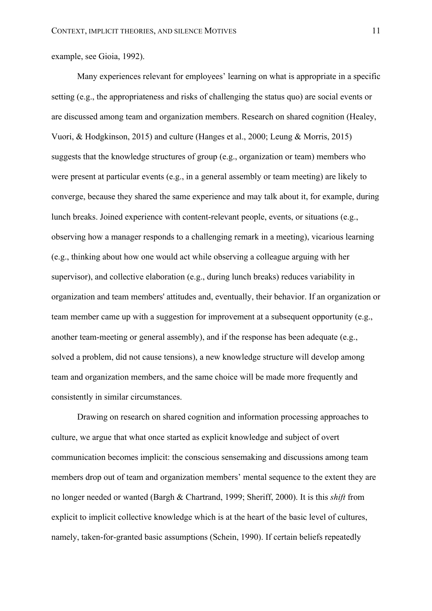example, see Gioia, 1992).

Many experiences relevant for employees' learning on what is appropriate in a specific setting (e.g., the appropriateness and risks of challenging the status quo) are social events or are discussed among team and organization members. Research on shared cognition (Healey, Vuori, & Hodgkinson, 2015) and culture (Hanges et al., 2000; Leung & Morris, 2015) suggests that the knowledge structures of group (e.g., organization or team) members who were present at particular events (e.g., in a general assembly or team meeting) are likely to converge, because they shared the same experience and may talk about it, for example, during lunch breaks. Joined experience with content-relevant people, events, or situations (e.g., observing how a manager responds to a challenging remark in a meeting), vicarious learning (e.g., thinking about how one would act while observing a colleague arguing with her supervisor), and collective elaboration (e.g., during lunch breaks) reduces variability in organization and team members' attitudes and, eventually, their behavior. If an organization or team member came up with a suggestion for improvement at a subsequent opportunity (e.g., another team-meeting or general assembly), and if the response has been adequate (e.g., solved a problem, did not cause tensions), a new knowledge structure will develop among team and organization members, and the same choice will be made more frequently and consistently in similar circumstances.

Drawing on research on shared cognition and information processing approaches to culture, we argue that what once started as explicit knowledge and subject of overt communication becomes implicit: the conscious sensemaking and discussions among team members drop out of team and organization members' mental sequence to the extent they are no longer needed or wanted (Bargh & Chartrand, 1999; Sheriff, 2000). It is this *shift* from explicit to implicit collective knowledge which is at the heart of the basic level of cultures, namely, taken-for-granted basic assumptions (Schein, 1990). If certain beliefs repeatedly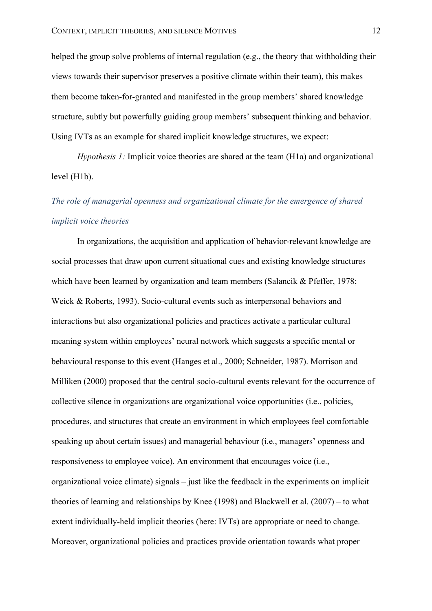helped the group solve problems of internal regulation (e.g., the theory that withholding their views towards their supervisor preserves a positive climate within their team), this makes them become taken-for-granted and manifested in the group members' shared knowledge structure, subtly but powerfully guiding group members' subsequent thinking and behavior. Using IVTs as an example for shared implicit knowledge structures, we expect:

*Hypothesis 1:* Implicit voice theories are shared at the team (H1a) and organizational level (H1b).

# *The role of managerial openness and organizational climate for the emergence of shared implicit voice theories*

In organizations, the acquisition and application of behavior-relevant knowledge are social processes that draw upon current situational cues and existing knowledge structures which have been learned by organization and team members (Salancik & Pfeffer, 1978; Weick & Roberts, 1993). Socio-cultural events such as interpersonal behaviors and interactions but also organizational policies and practices activate a particular cultural meaning system within employees' neural network which suggests a specific mental or behavioural response to this event (Hanges et al., 2000; Schneider, 1987). Morrison and Milliken (2000) proposed that the central socio-cultural events relevant for the occurrence of collective silence in organizations are organizational voice opportunities (i.e., policies, procedures, and structures that create an environment in which employees feel comfortable speaking up about certain issues) and managerial behaviour (i.e., managers' openness and responsiveness to employee voice). An environment that encourages voice (i.e., organizational voice climate) signals – just like the feedback in the experiments on implicit theories of learning and relationships by Knee (1998) and Blackwell et al. (2007) – to what extent individually-held implicit theories (here: IVTs) are appropriate or need to change. Moreover, organizational policies and practices provide orientation towards what proper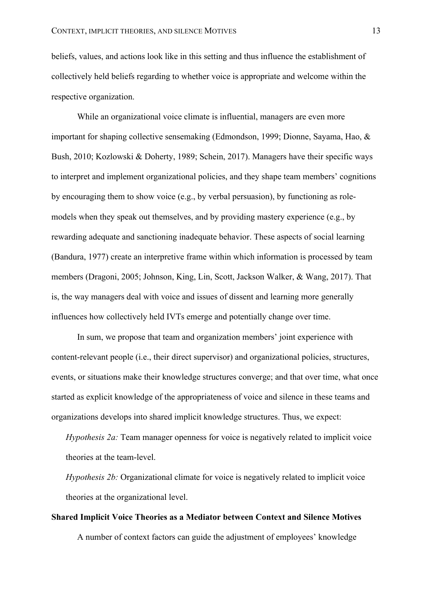beliefs, values, and actions look like in this setting and thus influence the establishment of collectively held beliefs regarding to whether voice is appropriate and welcome within the respective organization.

While an organizational voice climate is influential, managers are even more important for shaping collective sensemaking (Edmondson, 1999; Dionne, Sayama, Hao, & Bush, 2010; Kozlowski & Doherty, 1989; Schein, 2017). Managers have their specific ways to interpret and implement organizational policies, and they shape team members' cognitions by encouraging them to show voice (e.g., by verbal persuasion), by functioning as rolemodels when they speak out themselves, and by providing mastery experience (e.g., by rewarding adequate and sanctioning inadequate behavior. These aspects of social learning (Bandura, 1977) create an interpretive frame within which information is processed by team members (Dragoni, 2005; Johnson, King, Lin, Scott, Jackson Walker, & Wang, 2017). That is, the way managers deal with voice and issues of dissent and learning more generally influences how collectively held IVTs emerge and potentially change over time.

In sum, we propose that team and organization members' joint experience with content-relevant people (i.e., their direct supervisor) and organizational policies, structures, events, or situations make their knowledge structures converge; and that over time, what once started as explicit knowledge of the appropriateness of voice and silence in these teams and organizations develops into shared implicit knowledge structures. Thus, we expect:

*Hypothesis 2a:* Team manager openness for voice is negatively related to implicit voice theories at the team-level.

*Hypothesis 2b:* Organizational climate for voice is negatively related to implicit voice theories at the organizational level.

# **Shared Implicit Voice Theories as a Mediator between Context and Silence Motives** A number of context factors can guide the adjustment of employees' knowledge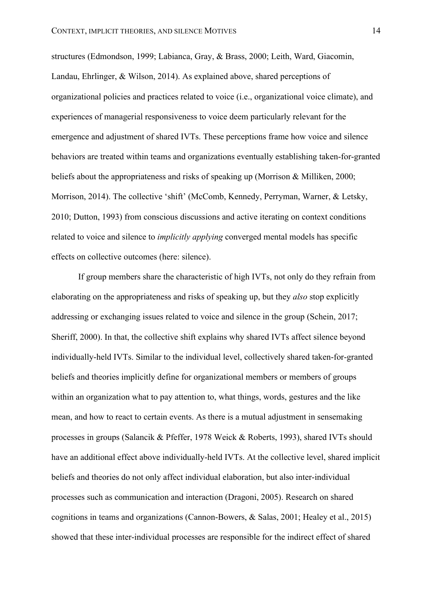structures (Edmondson, 1999; Labianca, Gray, & Brass, 2000; Leith, Ward, Giacomin, Landau, Ehrlinger, & Wilson, 2014). As explained above, shared perceptions of organizational policies and practices related to voice (i.e., organizational voice climate), and experiences of managerial responsiveness to voice deem particularly relevant for the emergence and adjustment of shared IVTs. These perceptions frame how voice and silence behaviors are treated within teams and organizations eventually establishing taken-for-granted beliefs about the appropriateness and risks of speaking up (Morrison  $\&$  Milliken, 2000; Morrison, 2014). The collective 'shift' (McComb, Kennedy, Perryman, Warner, & Letsky, 2010; Dutton, 1993) from conscious discussions and active iterating on context conditions related to voice and silence to *implicitly applying* converged mental models has specific effects on collective outcomes (here: silence).

If group members share the characteristic of high IVTs, not only do they refrain from elaborating on the appropriateness and risks of speaking up, but they *also* stop explicitly addressing or exchanging issues related to voice and silence in the group (Schein, 2017; Sheriff, 2000). In that, the collective shift explains why shared IVTs affect silence beyond individually-held IVTs. Similar to the individual level, collectively shared taken-for-granted beliefs and theories implicitly define for organizational members or members of groups within an organization what to pay attention to, what things, words, gestures and the like mean, and how to react to certain events. As there is a mutual adjustment in sensemaking processes in groups (Salancik & Pfeffer, 1978 Weick & Roberts, 1993), shared IVTs should have an additional effect above individually-held IVTs. At the collective level, shared implicit beliefs and theories do not only affect individual elaboration, but also inter-individual processes such as communication and interaction (Dragoni, 2005). Research on shared cognitions in teams and organizations (Cannon-Bowers, & Salas, 2001; Healey et al., 2015) showed that these inter-individual processes are responsible for the indirect effect of shared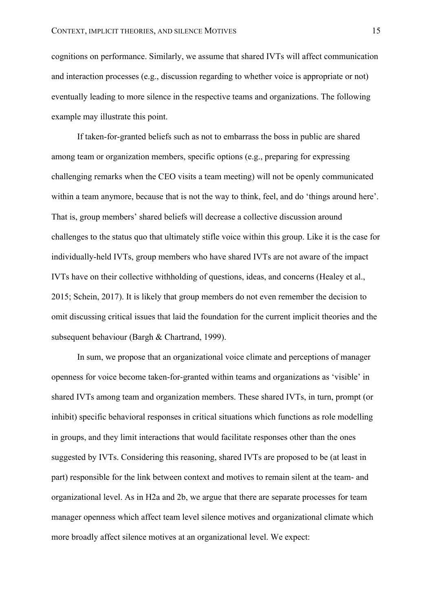cognitions on performance. Similarly, we assume that shared IVTs will affect communication and interaction processes (e.g., discussion regarding to whether voice is appropriate or not) eventually leading to more silence in the respective teams and organizations. The following example may illustrate this point.

If taken-for-granted beliefs such as not to embarrass the boss in public are shared among team or organization members, specific options (e.g., preparing for expressing challenging remarks when the CEO visits a team meeting) will not be openly communicated within a team anymore, because that is not the way to think, feel, and do 'things around here'. That is, group members' shared beliefs will decrease a collective discussion around challenges to the status quo that ultimately stifle voice within this group. Like it is the case for individually-held IVTs, group members who have shared IVTs are not aware of the impact IVTs have on their collective withholding of questions, ideas, and concerns (Healey et al., 2015; Schein, 2017). It is likely that group members do not even remember the decision to omit discussing critical issues that laid the foundation for the current implicit theories and the subsequent behaviour (Bargh & Chartrand, 1999).

In sum, we propose that an organizational voice climate and perceptions of manager openness for voice become taken-for-granted within teams and organizations as 'visible' in shared IVTs among team and organization members. These shared IVTs, in turn, prompt (or inhibit) specific behavioral responses in critical situations which functions as role modelling in groups, and they limit interactions that would facilitate responses other than the ones suggested by IVTs. Considering this reasoning, shared IVTs are proposed to be (at least in part) responsible for the link between context and motives to remain silent at the team- and organizational level. As in H2a and 2b, we argue that there are separate processes for team manager openness which affect team level silence motives and organizational climate which more broadly affect silence motives at an organizational level. We expect: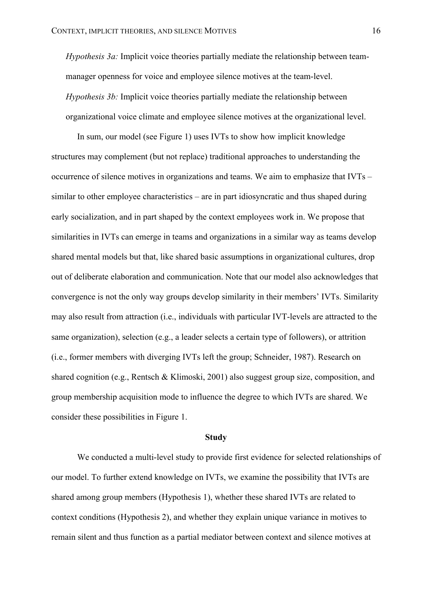*Hypothesis 3a:* Implicit voice theories partially mediate the relationship between teammanager openness for voice and employee silence motives at the team-level. *Hypothesis 3b:* Implicit voice theories partially mediate the relationship between organizational voice climate and employee silence motives at the organizational level.

In sum, our model (see Figure 1) uses IVTs to show how implicit knowledge structures may complement (but not replace) traditional approaches to understanding the occurrence of silence motives in organizations and teams. We aim to emphasize that IVTs – similar to other employee characteristics – are in part idiosyncratic and thus shaped during early socialization, and in part shaped by the context employees work in. We propose that similarities in IVTs can emerge in teams and organizations in a similar way as teams develop shared mental models but that, like shared basic assumptions in organizational cultures, drop out of deliberate elaboration and communication. Note that our model also acknowledges that convergence is not the only way groups develop similarity in their members' IVTs. Similarity may also result from attraction (i.e., individuals with particular IVT-levels are attracted to the same organization), selection (e.g., a leader selects a certain type of followers), or attrition (i.e., former members with diverging IVTs left the group; Schneider, 1987). Research on shared cognition (e.g., Rentsch & Klimoski, 2001) also suggest group size, composition, and group membership acquisition mode to influence the degree to which IVTs are shared. We consider these possibilities in Figure 1.

#### **Study**

We conducted a multi-level study to provide first evidence for selected relationships of our model. To further extend knowledge on IVTs, we examine the possibility that IVTs are shared among group members (Hypothesis 1), whether these shared IVTs are related to context conditions (Hypothesis 2), and whether they explain unique variance in motives to remain silent and thus function as a partial mediator between context and silence motives at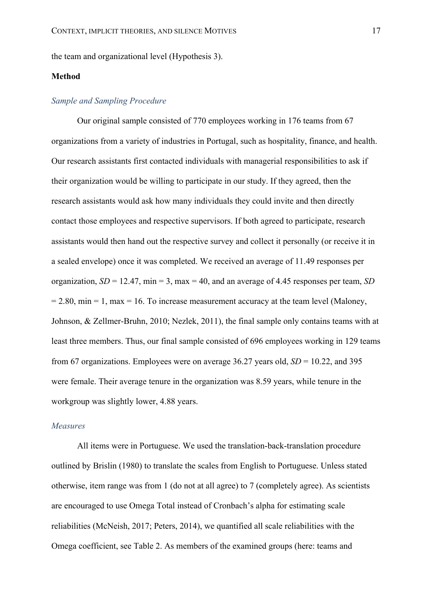the team and organizational level (Hypothesis 3).

# **Method**

# *Sample and Sampling Procedure*

Our original sample consisted of 770 employees working in 176 teams from 67 organizations from a variety of industries in Portugal, such as hospitality, finance, and health. Our research assistants first contacted individuals with managerial responsibilities to ask if their organization would be willing to participate in our study. If they agreed, then the research assistants would ask how many individuals they could invite and then directly contact those employees and respective supervisors. If both agreed to participate, research assistants would then hand out the respective survey and collect it personally (or receive it in a sealed envelope) once it was completed. We received an average of 11.49 responses per organization, *SD* = 12.47, min = 3, max = 40, and an average of 4.45 responses per team, *SD*  $= 2.80$ , min  $= 1$ , max  $= 16$ . To increase measurement accuracy at the team level (Maloney, Johnson, & Zellmer-Bruhn, 2010; Nezlek, 2011), the final sample only contains teams with at least three members. Thus, our final sample consisted of 696 employees working in 129 teams from 67 organizations. Employees were on average 36.27 years old,  $SD = 10.22$ , and 395 were female. Their average tenure in the organization was 8.59 years, while tenure in the workgroup was slightly lower, 4.88 years.

## *Measures*

All items were in Portuguese. We used the translation-back-translation procedure outlined by Brislin (1980) to translate the scales from English to Portuguese. Unless stated otherwise, item range was from 1 (do not at all agree) to 7 (completely agree). As scientists are encouraged to use Omega Total instead of Cronbach's alpha for estimating scale reliabilities (McNeish, 2017; Peters, 2014), we quantified all scale reliabilities with the Omega coefficient, see Table 2. As members of the examined groups (here: teams and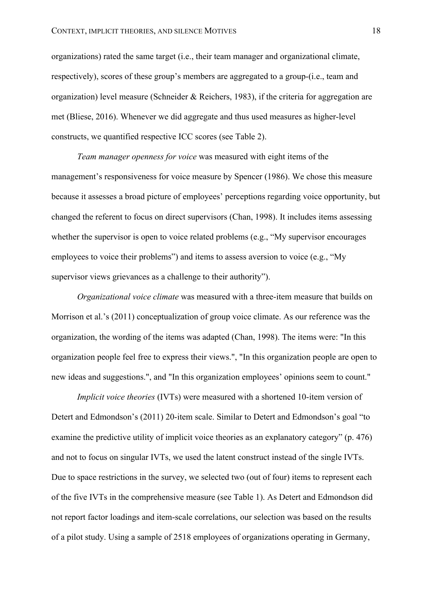organizations) rated the same target (i.e., their team manager and organizational climate, respectively), scores of these group's members are aggregated to a group-(i.e., team and organization) level measure (Schneider & Reichers, 1983), if the criteria for aggregation are met (Bliese, 2016). Whenever we did aggregate and thus used measures as higher-level constructs, we quantified respective ICC scores (see Table 2).

*Team manager openness for voice* was measured with eight items of the management's responsiveness for voice measure by Spencer (1986). We chose this measure because it assesses a broad picture of employees' perceptions regarding voice opportunity, but changed the referent to focus on direct supervisors (Chan, 1998). It includes items assessing whether the supervisor is open to voice related problems (e.g., "My supervisor encourages") employees to voice their problems") and items to assess aversion to voice (e.g., "My supervisor views grievances as a challenge to their authority").

*Organizational voice climate* was measured with a three-item measure that builds on Morrison et al.'s (2011) conceptualization of group voice climate. As our reference was the organization, the wording of the items was adapted (Chan, 1998). The items were: "In this organization people feel free to express their views.", "In this organization people are open to new ideas and suggestions.", and "In this organization employees' opinions seem to count."

*Implicit voice theories* (IVTs) were measured with a shortened 10-item version of Detert and Edmondson's (2011) 20-item scale. Similar to Detert and Edmondson's goal "to examine the predictive utility of implicit voice theories as an explanatory category" (p. 476) and not to focus on singular IVTs, we used the latent construct instead of the single IVTs. Due to space restrictions in the survey, we selected two (out of four) items to represent each of the five IVTs in the comprehensive measure (see Table 1). As Detert and Edmondson did not report factor loadings and item-scale correlations, our selection was based on the results of a pilot study. Using a sample of 2518 employees of organizations operating in Germany,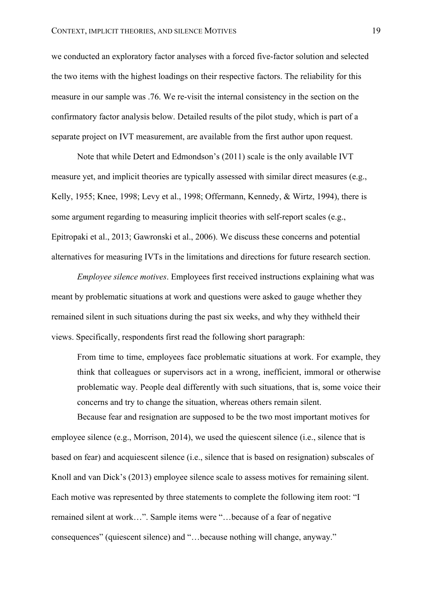we conducted an exploratory factor analyses with a forced five-factor solution and selected the two items with the highest loadings on their respective factors. The reliability for this measure in our sample was .76. We re-visit the internal consistency in the section on the confirmatory factor analysis below. Detailed results of the pilot study, which is part of a separate project on IVT measurement, are available from the first author upon request.

Note that while Detert and Edmondson's (2011) scale is the only available IVT measure yet, and implicit theories are typically assessed with similar direct measures (e.g., Kelly, 1955; Knee, 1998; Levy et al., 1998; Offermann, Kennedy, & Wirtz, 1994), there is some argument regarding to measuring implicit theories with self-report scales (e.g., Epitropaki et al., 2013; Gawronski et al., 2006). We discuss these concerns and potential alternatives for measuring IVTs in the limitations and directions for future research section.

*Employee silence motives*. Employees first received instructions explaining what was meant by problematic situations at work and questions were asked to gauge whether they remained silent in such situations during the past six weeks, and why they withheld their views. Specifically, respondents first read the following short paragraph:

From time to time, employees face problematic situations at work. For example, they think that colleagues or supervisors act in a wrong, inefficient, immoral or otherwise problematic way. People deal differently with such situations, that is, some voice their concerns and try to change the situation, whereas others remain silent.

Because fear and resignation are supposed to be the two most important motives for employee silence (e.g., Morrison, 2014), we used the quiescent silence (i.e., silence that is based on fear) and acquiescent silence (i.e., silence that is based on resignation) subscales of Knoll and van Dick's (2013) employee silence scale to assess motives for remaining silent. Each motive was represented by three statements to complete the following item root: "I remained silent at work…". Sample items were "…because of a fear of negative consequences" (quiescent silence) and "…because nothing will change, anyway."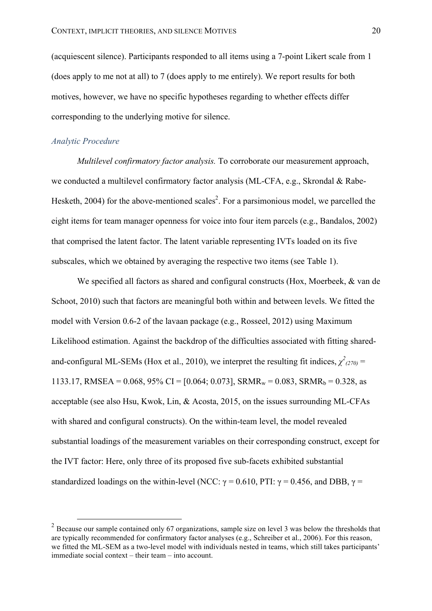(acquiescent silence). Participants responded to all items using a 7-point Likert scale from 1 (does apply to me not at all) to 7 (does apply to me entirely). We report results for both motives, however, we have no specific hypotheses regarding to whether effects differ corresponding to the underlying motive for silence.

# *Analytic Procedure*

*Multilevel confirmatory factor analysis.* To corroborate our measurement approach, we conducted a multilevel confirmatory factor analysis (ML-CFA, e.g., Skrondal & Rabe-Hesketh, 2004) for the above-mentioned scales<sup>2</sup>. For a parsimonious model, we parcelled the eight items for team manager openness for voice into four item parcels (e.g., Bandalos, 2002) that comprised the latent factor. The latent variable representing IVTs loaded on its five subscales, which we obtained by averaging the respective two items (see Table 1).

We specified all factors as shared and configural constructs (Hox, Moerbeek, & van de Schoot, 2010) such that factors are meaningful both within and between levels. We fitted the model with Version 0.6-2 of the lavaan package (e.g., Rosseel, 2012) using Maximum Likelihood estimation. Against the backdrop of the difficulties associated with fitting sharedand-configural ML-SEMs (Hox et al., 2010), we interpret the resulting fit indices,  $\chi^2_{(270)}$  = 1133.17, RMSEA =  $0.068$ ,  $95\%$  CI = [0.064; 0.073], SRMR<sub>w</sub> = 0.083, SRMR<sub>b</sub> = 0.328, as acceptable (see also Hsu, Kwok, Lin, & Acosta, 2015, on the issues surrounding ML-CFAs with shared and configural constructs). On the within-team level, the model revealed substantial loadings of the measurement variables on their corresponding construct, except for the IVT factor: Here, only three of its proposed five sub-facets exhibited substantial standardized loadings on the within-level (NCC:  $\gamma = 0.610$ , PTI:  $\gamma = 0.456$ , and DBB,  $\gamma =$ 

 $^{2}$  Because our sample contained only 67 organizations, sample size on level 3 was below the thresholds that are typically recommended for confirmatory factor analyses (e.g., Schreiber et al., 2006). For this reason we fitted the ML-SEM as a two-level model with individuals nested in teams, which still takes participants' immediate social context – their team – into account.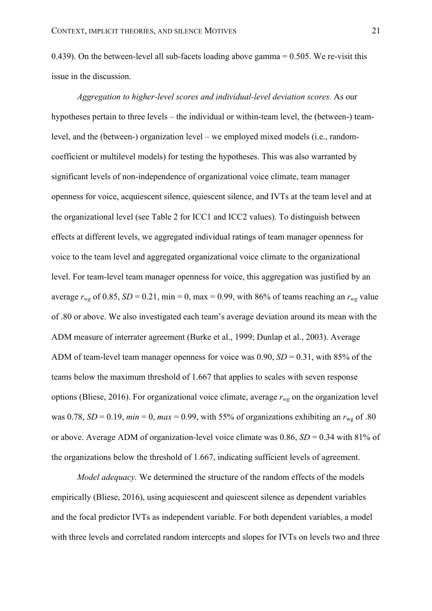0.439). On the between-level all sub-facets loading above gamma = 0.505. We re-visit this issue in the discussion.

*Aggregation to higher-level scores and individual-level deviation scores.* As our hypotheses pertain to three levels – the individual or within-team level, the (between-) teamlevel, and the (between-) organization level – we employed mixed models (i.e., randomcoefficient or multilevel models) for testing the hypotheses. This was also warranted by significant levels of non-independence of organizational voice climate, team manager openness for voice, acquiescent silence, quiescent silence, and IVTs at the team level and at the organizational level (see Table 2 for ICC1 and ICC2 values). To distinguish between effects at different levels, we aggregated individual ratings of team manager openness for voice to the team level and aggregated organizational voice climate to the organizational level. For team-level team manager openness for voice, this aggregation was justified by an average  $r_{wg}$  of 0.85,  $SD = 0.21$ , min = 0, max = 0.99, with 86% of teams reaching an  $r_{wg}$  value of .80 or above. We also investigated each team's average deviation around its mean with the ADM measure of interrater agreement (Burke et al., 1999; Dunlap et al., 2003). Average ADM of team-level team manager openness for voice was 0.90, *SD* = 0.31, with 85% of the teams below the maximum threshold of 1.667 that applies to scales with seven response options (Bliese, 2016). For organizational voice climate, average *rwg* on the organization level was 0.78,  $SD = 0.19$ ,  $min = 0$ ,  $max = 0.99$ , with 55% of organizations exhibiting an  $r_{\text{w0}}$  of .80 or above. Average ADM of organization-level voice climate was 0.86, *SD* = 0.34 with 81% of the organizations below the threshold of 1.667, indicating sufficient levels of agreement.

*Model adequacy.* We determined the structure of the random effects of the models empirically (Bliese, 2016), using acquiescent and quiescent silence as dependent variables and the focal predictor IVTs as independent variable. For both dependent variables, a model with three levels and correlated random intercepts and slopes for IVTs on levels two and three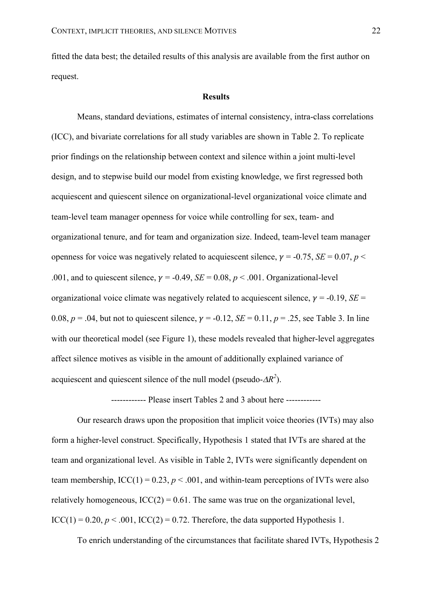fitted the data best; the detailed results of this analysis are available from the first author on request.

## **Results**

Means, standard deviations, estimates of internal consistency, intra-class correlations (ICC), and bivariate correlations for all study variables are shown in Table 2. To replicate prior findings on the relationship between context and silence within a joint multi-level design, and to stepwise build our model from existing knowledge, we first regressed both acquiescent and quiescent silence on organizational-level organizational voice climate and team-level team manager openness for voice while controlling for sex, team- and organizational tenure, and for team and organization size. Indeed, team-level team manager openness for voice was negatively related to acquiescent silence,  $\gamma = -0.75$ , *SE* = 0.07, *p* < .001, and to quiescent silence,  $\gamma = -0.49$ ,  $SE = 0.08$ ,  $p < .001$ . Organizational-level organizational voice climate was negatively related to acquiescent silence,  $v = -0.19$ ,  $SE =$ 0.08,  $p = .04$ , but not to quiescent silence,  $\gamma = -0.12$ ,  $SE = 0.11$ ,  $p = .25$ , see Table 3. In line with our theoretical model (see Figure 1), these models revealed that higher-level aggregates affect silence motives as visible in the amount of additionally explained variance of acquiescent and quiescent silence of the null model (pseudo- $\Delta R^2$ ).

------------ Please insert Tables 2 and 3 about here ------------

Our research draws upon the proposition that implicit voice theories (IVTs) may also form a higher-level construct. Specifically, Hypothesis 1 stated that IVTs are shared at the team and organizational level. As visible in Table 2, IVTs were significantly dependent on team membership,  $\text{ICC}(1) = 0.23$ ,  $p < .001$ , and within-team perceptions of IVTs were also relatively homogeneous,  $ICC(2) = 0.61$ . The same was true on the organizational level, ICC(1) =  $0.20, p < .001$ , ICC(2) = 0.72. Therefore, the data supported Hypothesis 1.

To enrich understanding of the circumstances that facilitate shared IVTs, Hypothesis 2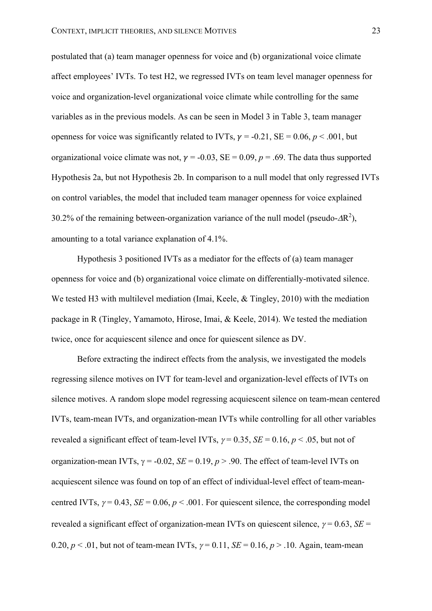postulated that (a) team manager openness for voice and (b) organizational voice climate affect employees' IVTs. To test H2, we regressed IVTs on team level manager openness for voice and organization-level organizational voice climate while controlling for the same variables as in the previous models. As can be seen in Model 3 in Table 3, team manager openness for voice was significantly related to IVTs,  $\gamma = -0.21$ , SE = 0.06,  $p < .001$ , but organizational voice climate was not,  $\gamma = -0.03$ ,  $SE = 0.09$ ,  $p = .69$ . The data thus supported Hypothesis 2a, but not Hypothesis 2b. In comparison to a null model that only regressed IVTs on control variables, the model that included team manager openness for voice explained 30.2% of the remaining between-organization variance of the null model (pseudo- $\Delta R^2$ ), amounting to a total variance explanation of 4.1%.

Hypothesis 3 positioned IVTs as a mediator for the effects of (a) team manager openness for voice and (b) organizational voice climate on differentially-motivated silence. We tested H3 with multilevel mediation (Imai, Keele, & Tingley, 2010) with the mediation package in R (Tingley, Yamamoto, Hirose, Imai, & Keele, 2014). We tested the mediation twice, once for acquiescent silence and once for quiescent silence as DV.

Before extracting the indirect effects from the analysis, we investigated the models regressing silence motives on IVT for team-level and organization-level effects of IVTs on silence motives. A random slope model regressing acquiescent silence on team-mean centered IVTs, team-mean IVTs, and organization-mean IVTs while controlling for all other variables revealed a significant effect of team-level IVTs,  $\gamma = 0.35$ ,  $SE = 0.16$ ,  $p < .05$ , but not of organization-mean IVTs,  $\gamma = -0.02$ ,  $SE = 0.19$ ,  $p > .90$ . The effect of team-level IVTs on acquiescent silence was found on top of an effect of individual-level effect of team-meancentred IVTs,  $\gamma = 0.43$ ,  $SE = 0.06$ ,  $p < .001$ . For quiescent silence, the corresponding model revealed a significant effect of organization-mean IVTs on quiescent silence,  $\gamma = 0.63$ , *SE* = 0.20,  $p < 0.01$ , but not of team-mean IVTs,  $\gamma = 0.11$ ,  $SE = 0.16$ ,  $p > 0.10$ . Again, team-mean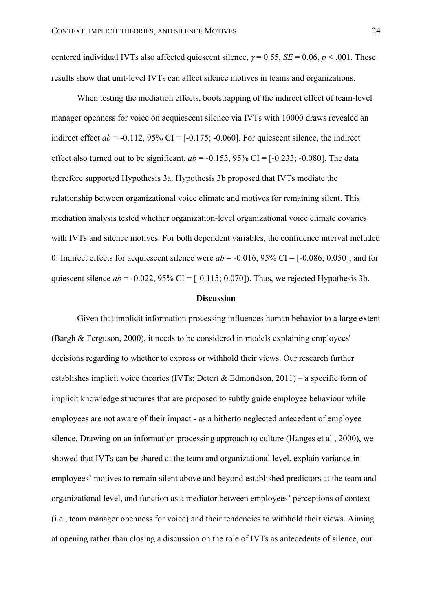centered individual IVTs also affected quiescent silence,  $\gamma = 0.55$ ,  $SE = 0.06$ ,  $p < .001$ . These results show that unit-level IVTs can affect silence motives in teams and organizations.

When testing the mediation effects, bootstrapping of the indirect effect of team-level manager openness for voice on acquiescent silence via IVTs with 10000 draws revealed an indirect effect  $ab = -0.112$ , 95% CI =  $[-0.175; -0.060]$ . For quiescent silence, the indirect effect also turned out to be significant,  $ab = -0.153$ ,  $95\%$  CI =  $[-0.233; -0.080]$ . The data therefore supported Hypothesis 3a. Hypothesis 3b proposed that IVTs mediate the relationship between organizational voice climate and motives for remaining silent. This mediation analysis tested whether organization-level organizational voice climate covaries with IVTs and silence motives. For both dependent variables, the confidence interval included 0: Indirect effects for acquiescent silence were  $ab = -0.016$ , 95% CI = [-0.086; 0.050], and for quiescent silence  $ab = -0.022$ , 95% CI =  $[-0.115; 0.070]$ ). Thus, we rejected Hypothesis 3b.

#### **Discussion**

Given that implicit information processing influences human behavior to a large extent (Bargh & Ferguson, 2000), it needs to be considered in models explaining employees' decisions regarding to whether to express or withhold their views. Our research further establishes implicit voice theories (IVTs; Detert & Edmondson,  $2011$ ) – a specific form of implicit knowledge structures that are proposed to subtly guide employee behaviour while employees are not aware of their impact - as a hitherto neglected antecedent of employee silence. Drawing on an information processing approach to culture (Hanges et al., 2000), we showed that IVTs can be shared at the team and organizational level, explain variance in employees' motives to remain silent above and beyond established predictors at the team and organizational level, and function as a mediator between employees' perceptions of context (i.e., team manager openness for voice) and their tendencies to withhold their views. Aiming at opening rather than closing a discussion on the role of IVTs as antecedents of silence, our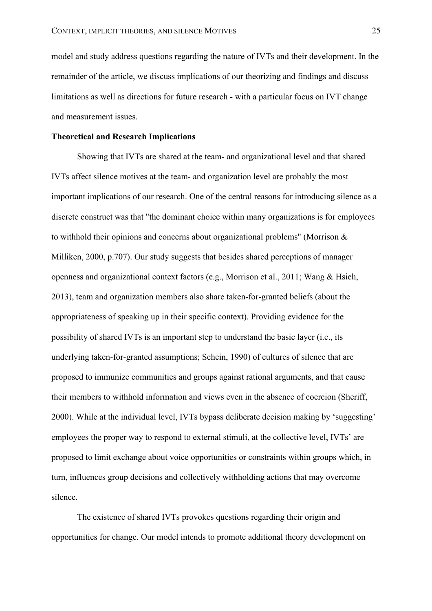model and study address questions regarding the nature of IVTs and their development. In the remainder of the article, we discuss implications of our theorizing and findings and discuss limitations as well as directions for future research - with a particular focus on IVT change and measurement issues.

### **Theoretical and Research Implications**

Showing that IVTs are shared at the team- and organizational level and that shared IVTs affect silence motives at the team- and organization level are probably the most important implications of our research. One of the central reasons for introducing silence as a discrete construct was that "the dominant choice within many organizations is for employees to withhold their opinions and concerns about organizational problems" (Morrison & Milliken, 2000, p.707). Our study suggests that besides shared perceptions of manager openness and organizational context factors (e.g., Morrison et al., 2011; Wang & Hsieh, 2013), team and organization members also share taken-for-granted beliefs (about the appropriateness of speaking up in their specific context). Providing evidence for the possibility of shared IVTs is an important step to understand the basic layer (i.e., its underlying taken-for-granted assumptions; Schein, 1990) of cultures of silence that are proposed to immunize communities and groups against rational arguments, and that cause their members to withhold information and views even in the absence of coercion (Sheriff, 2000). While at the individual level, IVTs bypass deliberate decision making by 'suggesting' employees the proper way to respond to external stimuli, at the collective level, IVTs' are proposed to limit exchange about voice opportunities or constraints within groups which, in turn, influences group decisions and collectively withholding actions that may overcome silence.

The existence of shared IVTs provokes questions regarding their origin and opportunities for change. Our model intends to promote additional theory development on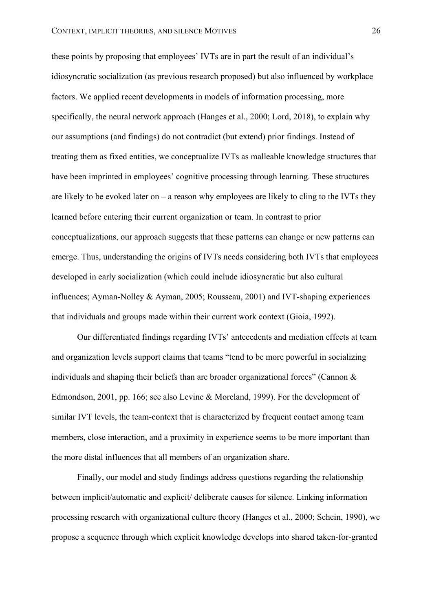these points by proposing that employees' IVTs are in part the result of an individual's idiosyncratic socialization (as previous research proposed) but also influenced by workplace factors. We applied recent developments in models of information processing, more specifically, the neural network approach (Hanges et al., 2000; Lord, 2018), to explain why our assumptions (and findings) do not contradict (but extend) prior findings. Instead of treating them as fixed entities, we conceptualize IVTs as malleable knowledge structures that have been imprinted in employees' cognitive processing through learning. These structures are likely to be evoked later on  $-$  a reason why employees are likely to cling to the IVTs they learned before entering their current organization or team. In contrast to prior conceptualizations, our approach suggests that these patterns can change or new patterns can emerge. Thus, understanding the origins of IVTs needs considering both IVTs that employees developed in early socialization (which could include idiosyncratic but also cultural influences; Ayman-Nolley & Ayman, 2005; Rousseau, 2001) and IVT-shaping experiences that individuals and groups made within their current work context (Gioia, 1992).

Our differentiated findings regarding IVTs' antecedents and mediation effects at team and organization levels support claims that teams "tend to be more powerful in socializing individuals and shaping their beliefs than are broader organizational forces" (Cannon  $\&$ Edmondson, 2001, pp. 166; see also Levine & Moreland, 1999). For the development of similar IVT levels, the team-context that is characterized by frequent contact among team members, close interaction, and a proximity in experience seems to be more important than the more distal influences that all members of an organization share.

Finally, our model and study findings address questions regarding the relationship between implicit/automatic and explicit/ deliberate causes for silence. Linking information processing research with organizational culture theory (Hanges et al., 2000; Schein, 1990), we propose a sequence through which explicit knowledge develops into shared taken-for-granted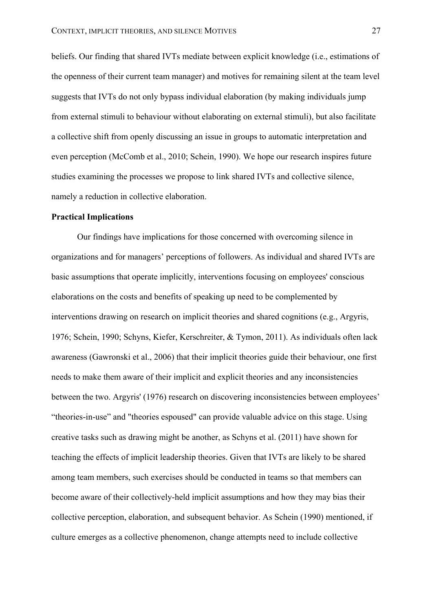beliefs. Our finding that shared IVTs mediate between explicit knowledge (i.e., estimations of the openness of their current team manager) and motives for remaining silent at the team level suggests that IVTs do not only bypass individual elaboration (by making individuals jump from external stimuli to behaviour without elaborating on external stimuli), but also facilitate a collective shift from openly discussing an issue in groups to automatic interpretation and even perception (McComb et al., 2010; Schein, 1990). We hope our research inspires future studies examining the processes we propose to link shared IVTs and collective silence, namely a reduction in collective elaboration.

# **Practical Implications**

Our findings have implications for those concerned with overcoming silence in organizations and for managers' perceptions of followers. As individual and shared IVTs are basic assumptions that operate implicitly, interventions focusing on employees' conscious elaborations on the costs and benefits of speaking up need to be complemented by interventions drawing on research on implicit theories and shared cognitions (e.g., Argyris, 1976; Schein, 1990; Schyns, Kiefer, Kerschreiter, & Tymon, 2011). As individuals often lack awareness (Gawronski et al., 2006) that their implicit theories guide their behaviour, one first needs to make them aware of their implicit and explicit theories and any inconsistencies between the two. Argyris' (1976) research on discovering inconsistencies between employees' "theories-in-use" and "theories espoused" can provide valuable advice on this stage. Using creative tasks such as drawing might be another, as Schyns et al. (2011) have shown for teaching the effects of implicit leadership theories. Given that IVTs are likely to be shared among team members, such exercises should be conducted in teams so that members can become aware of their collectively-held implicit assumptions and how they may bias their collective perception, elaboration, and subsequent behavior. As Schein (1990) mentioned, if culture emerges as a collective phenomenon, change attempts need to include collective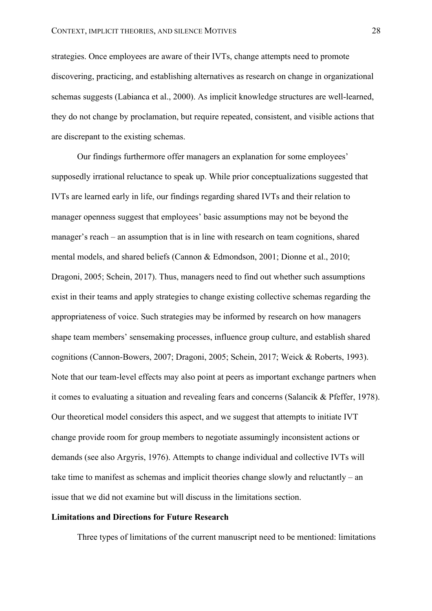strategies. Once employees are aware of their IVTs, change attempts need to promote discovering, practicing, and establishing alternatives as research on change in organizational schemas suggests (Labianca et al., 2000). As implicit knowledge structures are well-learned, they do not change by proclamation, but require repeated, consistent, and visible actions that are discrepant to the existing schemas.

Our findings furthermore offer managers an explanation for some employees' supposedly irrational reluctance to speak up. While prior conceptualizations suggested that IVTs are learned early in life, our findings regarding shared IVTs and their relation to manager openness suggest that employees' basic assumptions may not be beyond the manager's reach – an assumption that is in line with research on team cognitions, shared mental models, and shared beliefs (Cannon & Edmondson, 2001; Dionne et al., 2010; Dragoni, 2005; Schein, 2017). Thus, managers need to find out whether such assumptions exist in their teams and apply strategies to change existing collective schemas regarding the appropriateness of voice. Such strategies may be informed by research on how managers shape team members' sensemaking processes, influence group culture, and establish shared cognitions (Cannon-Bowers, 2007; Dragoni, 2005; Schein, 2017; Weick & Roberts, 1993). Note that our team-level effects may also point at peers as important exchange partners when it comes to evaluating a situation and revealing fears and concerns (Salancik & Pfeffer, 1978). Our theoretical model considers this aspect, and we suggest that attempts to initiate IVT change provide room for group members to negotiate assumingly inconsistent actions or demands (see also Argyris, 1976). Attempts to change individual and collective IVTs will take time to manifest as schemas and implicit theories change slowly and reluctantly – an issue that we did not examine but will discuss in the limitations section.

### **Limitations and Directions for Future Research**

Three types of limitations of the current manuscript need to be mentioned: limitations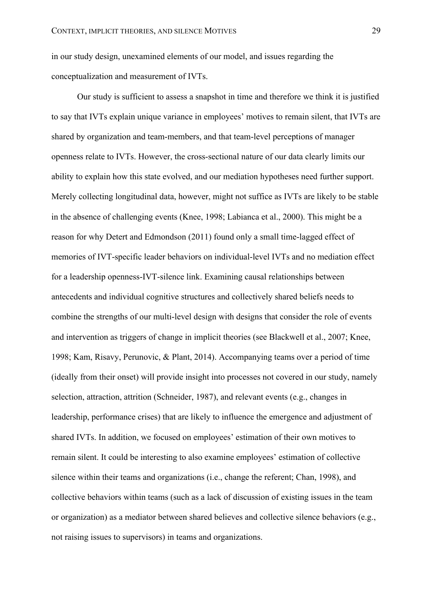in our study design, unexamined elements of our model, and issues regarding the conceptualization and measurement of IVTs.

Our study is sufficient to assess a snapshot in time and therefore we think it is justified to say that IVTs explain unique variance in employees' motives to remain silent, that IVTs are shared by organization and team-members, and that team-level perceptions of manager openness relate to IVTs. However, the cross-sectional nature of our data clearly limits our ability to explain how this state evolved, and our mediation hypotheses need further support. Merely collecting longitudinal data, however, might not suffice as IVTs are likely to be stable in the absence of challenging events (Knee, 1998; Labianca et al., 2000). This might be a reason for why Detert and Edmondson (2011) found only a small time-lagged effect of memories of IVT-specific leader behaviors on individual-level IVTs and no mediation effect for a leadership openness-IVT-silence link. Examining causal relationships between antecedents and individual cognitive structures and collectively shared beliefs needs to combine the strengths of our multi-level design with designs that consider the role of events and intervention as triggers of change in implicit theories (see Blackwell et al., 2007; Knee, 1998; Kam, Risavy, Perunovic, & Plant, 2014). Accompanying teams over a period of time (ideally from their onset) will provide insight into processes not covered in our study, namely selection, attraction, attrition (Schneider, 1987), and relevant events (e.g., changes in leadership, performance crises) that are likely to influence the emergence and adjustment of shared IVTs. In addition, we focused on employees' estimation of their own motives to remain silent. It could be interesting to also examine employees' estimation of collective silence within their teams and organizations (i.e., change the referent; Chan, 1998), and collective behaviors within teams (such as a lack of discussion of existing issues in the team or organization) as a mediator between shared believes and collective silence behaviors (e.g., not raising issues to supervisors) in teams and organizations.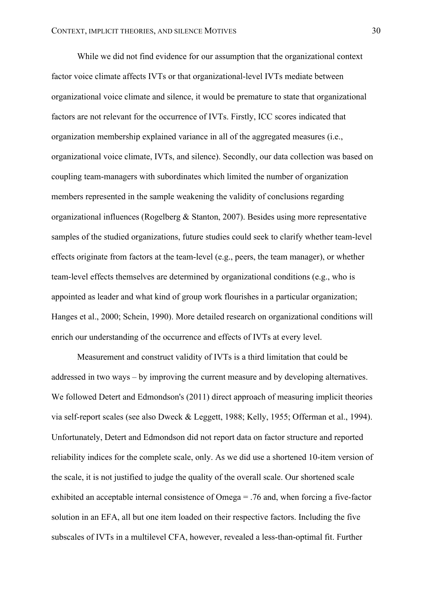While we did not find evidence for our assumption that the organizational context factor voice climate affects IVTs or that organizational-level IVTs mediate between organizational voice climate and silence, it would be premature to state that organizational factors are not relevant for the occurrence of IVTs. Firstly, ICC scores indicated that organization membership explained variance in all of the aggregated measures (i.e., organizational voice climate, IVTs, and silence). Secondly, our data collection was based on coupling team-managers with subordinates which limited the number of organization members represented in the sample weakening the validity of conclusions regarding organizational influences (Rogelberg & Stanton, 2007). Besides using more representative samples of the studied organizations, future studies could seek to clarify whether team-level effects originate from factors at the team-level (e.g., peers, the team manager), or whether team-level effects themselves are determined by organizational conditions (e.g., who is appointed as leader and what kind of group work flourishes in a particular organization; Hanges et al., 2000; Schein, 1990). More detailed research on organizational conditions will enrich our understanding of the occurrence and effects of IVTs at every level.

Measurement and construct validity of IVTs is a third limitation that could be addressed in two ways – by improving the current measure and by developing alternatives. We followed Detert and Edmondson's (2011) direct approach of measuring implicit theories via self-report scales (see also Dweck & Leggett, 1988; Kelly, 1955; Offerman et al., 1994). Unfortunately, Detert and Edmondson did not report data on factor structure and reported reliability indices for the complete scale, only. As we did use a shortened 10-item version of the scale, it is not justified to judge the quality of the overall scale. Our shortened scale exhibited an acceptable internal consistence of Omega = .76 and, when forcing a five-factor solution in an EFA, all but one item loaded on their respective factors. Including the five subscales of IVTs in a multilevel CFA, however, revealed a less-than-optimal fit. Further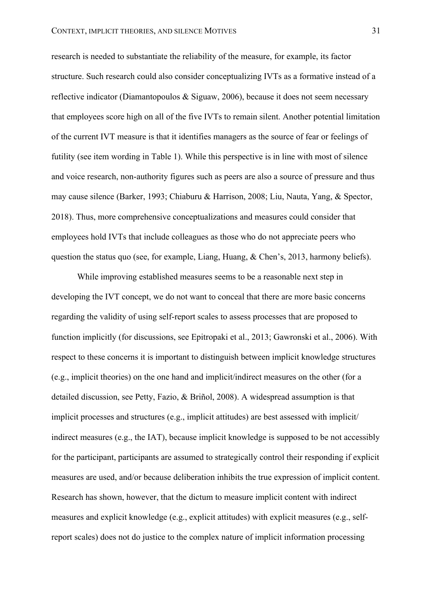research is needed to substantiate the reliability of the measure, for example, its factor structure. Such research could also consider conceptualizing IVTs as a formative instead of a reflective indicator (Diamantopoulos & Siguaw, 2006), because it does not seem necessary that employees score high on all of the five IVTs to remain silent. Another potential limitation of the current IVT measure is that it identifies managers as the source of fear or feelings of futility (see item wording in Table 1). While this perspective is in line with most of silence and voice research, non-authority figures such as peers are also a source of pressure and thus may cause silence (Barker, 1993; Chiaburu & Harrison, 2008; Liu, Nauta, Yang, & Spector, 2018). Thus, more comprehensive conceptualizations and measures could consider that employees hold IVTs that include colleagues as those who do not appreciate peers who question the status quo (see, for example, Liang, Huang, & Chen's, 2013, harmony beliefs).

While improving established measures seems to be a reasonable next step in developing the IVT concept, we do not want to conceal that there are more basic concerns regarding the validity of using self-report scales to assess processes that are proposed to function implicitly (for discussions, see Epitropaki et al., 2013; Gawronski et al., 2006). With respect to these concerns it is important to distinguish between implicit knowledge structures (e.g., implicit theories) on the one hand and implicit/indirect measures on the other (for a detailed discussion, see Petty, Fazio, & Briñol, 2008). A widespread assumption is that implicit processes and structures (e.g., implicit attitudes) are best assessed with implicit/ indirect measures (e.g., the IAT), because implicit knowledge is supposed to be not accessibly for the participant, participants are assumed to strategically control their responding if explicit measures are used, and/or because deliberation inhibits the true expression of implicit content. Research has shown, however, that the dictum to measure implicit content with indirect measures and explicit knowledge (e.g., explicit attitudes) with explicit measures (e.g., selfreport scales) does not do justice to the complex nature of implicit information processing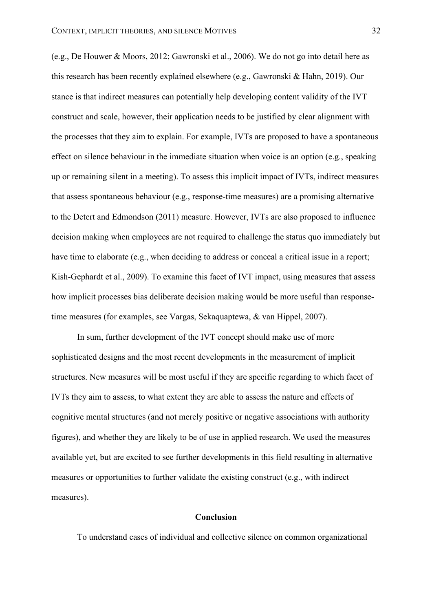(e.g., De Houwer & Moors, 2012; Gawronski et al., 2006). We do not go into detail here as this research has been recently explained elsewhere (e.g., Gawronski & Hahn, 2019). Our stance is that indirect measures can potentially help developing content validity of the IVT construct and scale, however, their application needs to be justified by clear alignment with the processes that they aim to explain. For example, IVTs are proposed to have a spontaneous effect on silence behaviour in the immediate situation when voice is an option (e.g., speaking up or remaining silent in a meeting). To assess this implicit impact of IVTs, indirect measures that assess spontaneous behaviour (e.g., response-time measures) are a promising alternative to the Detert and Edmondson (2011) measure. However, IVTs are also proposed to influence decision making when employees are not required to challenge the status quo immediately but have time to elaborate (e.g., when deciding to address or conceal a critical issue in a report; Kish-Gephardt et al., 2009). To examine this facet of IVT impact, using measures that assess how implicit processes bias deliberate decision making would be more useful than responsetime measures (for examples, see Vargas, Sekaquaptewa, & van Hippel, 2007).

In sum, further development of the IVT concept should make use of more sophisticated designs and the most recent developments in the measurement of implicit structures. New measures will be most useful if they are specific regarding to which facet of IVTs they aim to assess, to what extent they are able to assess the nature and effects of cognitive mental structures (and not merely positive or negative associations with authority figures), and whether they are likely to be of use in applied research. We used the measures available yet, but are excited to see further developments in this field resulting in alternative measures or opportunities to further validate the existing construct (e.g., with indirect measures).

#### **Conclusion**

To understand cases of individual and collective silence on common organizational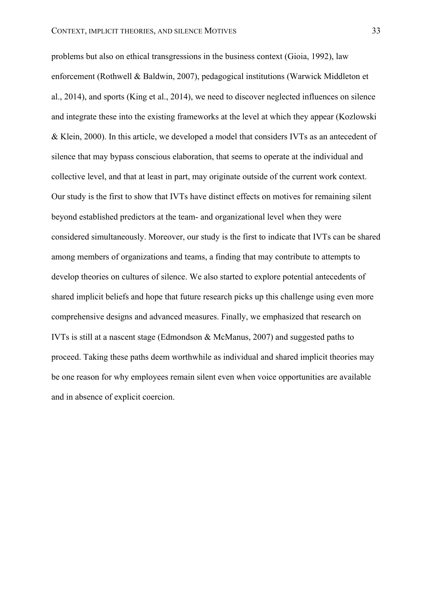problems but also on ethical transgressions in the business context (Gioia, 1992), law enforcement (Rothwell & Baldwin, 2007), pedagogical institutions (Warwick Middleton et al., 2014), and sports (King et al., 2014), we need to discover neglected influences on silence and integrate these into the existing frameworks at the level at which they appear (Kozlowski & Klein, 2000). In this article, we developed a model that considers IVTs as an antecedent of silence that may bypass conscious elaboration, that seems to operate at the individual and collective level, and that at least in part, may originate outside of the current work context. Our study is the first to show that IVTs have distinct effects on motives for remaining silent beyond established predictors at the team- and organizational level when they were considered simultaneously. Moreover, our study is the first to indicate that IVTs can be shared among members of organizations and teams, a finding that may contribute to attempts to develop theories on cultures of silence. We also started to explore potential antecedents of shared implicit beliefs and hope that future research picks up this challenge using even more comprehensive designs and advanced measures. Finally, we emphasized that research on IVTs is still at a nascent stage (Edmondson & McManus, 2007) and suggested paths to proceed. Taking these paths deem worthwhile as individual and shared implicit theories may be one reason for why employees remain silent even when voice opportunities are available and in absence of explicit coercion.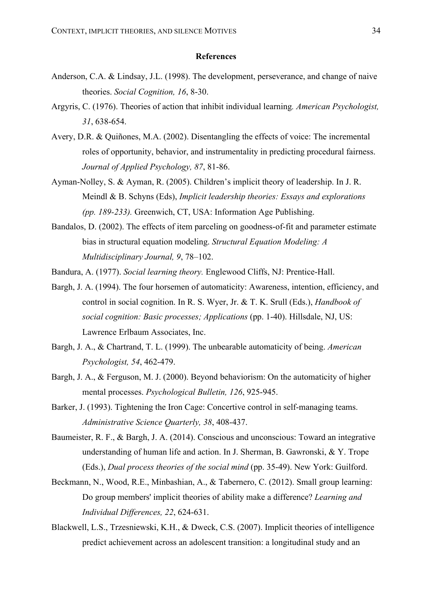#### **References**

- Anderson, C.A. & Lindsay, J.L. (1998). The development, perseverance, and change of naive theories. *Social Cognition, 16*, 8-30.
- Argyris, C. (1976). Theories of action that inhibit individual learning*. American Psychologist, 31*, 638-654.
- Avery, D.R. & Quiñones, M.A. (2002). Disentangling the effects of voice: The incremental roles of opportunity, behavior, and instrumentality in predicting procedural fairness. *Journal of Applied Psychology, 87*, 81-86.
- Ayman-Nolley, S. & Ayman, R. (2005). Children's implicit theory of leadership. In J. R. Meindl & B. Schyns (Eds), *Implicit leadership theories: Essays and explorations (pp. 189-233).* Greenwich, CT, USA: Information Age Publishing.
- Bandalos, D. (2002). The effects of item parceling on goodness-of-fit and parameter estimate bias in structural equation modeling. *Structural Equation Modeling: A Multidisciplinary Journal, 9*, 78–102.
- Bandura, A. (1977). *Social learning theory.* Englewood Cliffs, NJ: Prentice-Hall.
- Bargh, J. A. (1994). The four horsemen of automaticity: Awareness, intention, efficiency, and control in social cognition. In R. S. Wyer, Jr. & T. K. Srull (Eds.), *Handbook of social cognition: Basic processes; Applications* (pp. 1-40). Hillsdale, NJ, US: Lawrence Erlbaum Associates, Inc.
- Bargh, J. A., & Chartrand, T. L. (1999). The unbearable automaticity of being. *American Psychologist, 54*, 462-479.
- Bargh, J. A., & Ferguson, M. J. (2000). Beyond behaviorism: On the automaticity of higher mental processes. *Psychological Bulletin, 126*, 925-945.
- Barker, J. (1993). Tightening the Iron Cage: Concertive control in self-managing teams. *Administrative Science Quarterly, 38*, 408-437.
- Baumeister, R. F., & Bargh, J. A. (2014). Conscious and unconscious: Toward an integrative understanding of human life and action. In J. Sherman, B. Gawronski, & Y. Trope (Eds.), *Dual process theories of the social mind* (pp. 35-49). New York: Guilford.
- Beckmann, N., Wood, R.E., Minbashian, A., & Tabernero, C. (2012). Small group learning: Do group members' implicit theories of ability make a difference? *Learning and Individual Differences, 22*, 624-631.
- Blackwell, L.S., Trzesniewski, K.H., & Dweck, C.S. (2007). Implicit theories of intelligence predict achievement across an adolescent transition: a longitudinal study and an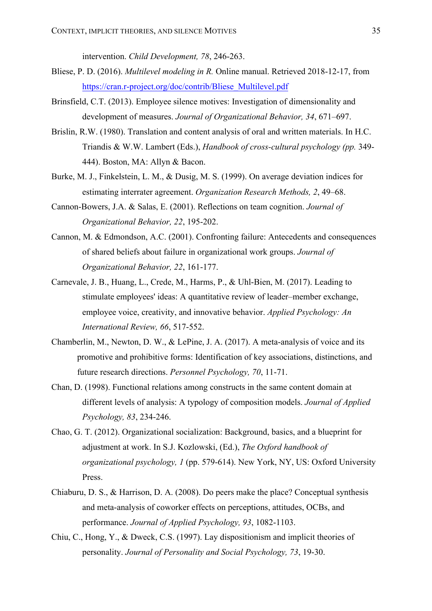intervention. *Child Development, 78*, 246-263.

- Bliese, P. D. (2016). *Multilevel modeling in R.* Online manual. Retrieved 2018-12-17, from https://cran.r-project.org/doc/contrib/Bliese\_Multilevel.pdf
- Brinsfield, C.T. (2013). Employee silence motives: Investigation of dimensionality and development of measures. *Journal of Organizational Behavior, 34*, 671–697.
- Brislin, R.W. (1980). Translation and content analysis of oral and written materials. In H.C. Triandis & W.W. Lambert (Eds.), *Handbook of cross-cultural psychology (pp.* 349- 444). Boston, MA: Allyn & Bacon.
- Burke, M. J., Finkelstein, L. M., & Dusig, M. S. (1999). On average deviation indices for estimating interrater agreement. *Organization Research Methods, 2*, 49–68.
- Cannon-Bowers, J.A. & Salas, E. (2001). Reflections on team cognition. *Journal of Organizational Behavior, 22*, 195-202.
- Cannon, M. & Edmondson, A.C. (2001). Confronting failure: Antecedents and consequences of shared beliefs about failure in organizational work groups. *Journal of Organizational Behavior, 22*, 161-177.
- Carnevale, J. B., Huang, L., Crede, M., Harms, P., & Uhl-Bien, M. (2017). Leading to stimulate employees' ideas: A quantitative review of leader–member exchange, employee voice, creativity, and innovative behavior. *Applied Psychology: An International Review, 66*, 517-552.
- Chamberlin, M., Newton, D. W., & LePine, J. A. (2017). A meta-analysis of voice and its promotive and prohibitive forms: Identification of key associations, distinctions, and future research directions. *Personnel Psychology, 70*, 11-71.
- Chan, D. (1998). Functional relations among constructs in the same content domain at different levels of analysis: A typology of composition models. *Journal of Applied Psychology, 83*, 234-246.
- Chao, G. T. (2012). Organizational socialization: Background, basics, and a blueprint for adjustment at work. In S.J. Kozlowski, (Ed.), *The Oxford handbook of organizational psychology, 1* (pp. 579-614). New York, NY, US: Oxford University Press.
- Chiaburu, D. S., & Harrison, D. A. (2008). Do peers make the place? Conceptual synthesis and meta-analysis of coworker effects on perceptions, attitudes, OCBs, and performance. *Journal of Applied Psychology, 93*, 1082-1103.
- Chiu, C., Hong, Y., & Dweck, C.S. (1997). Lay dispositionism and implicit theories of personality. *Journal of Personality and Social Psychology, 73*, 19-30.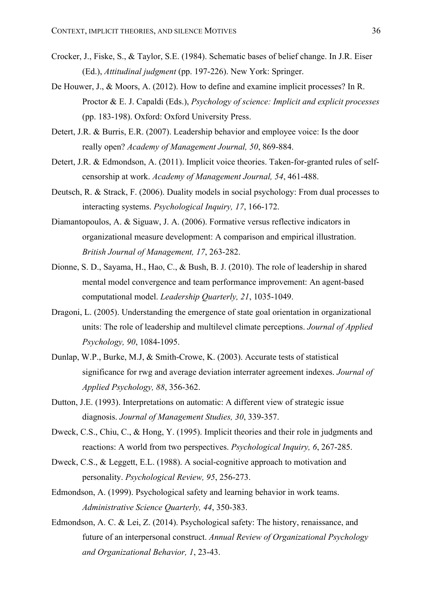- Crocker, J., Fiske, S., & Taylor, S.E. (1984). Schematic bases of belief change. In J.R. Eiser (Ed.), *Attitudinal judgment* (pp. 197-226). New York: Springer.
- De Houwer, J., & Moors, A. (2012). How to define and examine implicit processes? In R. Proctor & E. J. Capaldi (Eds.), *Psychology of science: Implicit and explicit processes* (pp. 183-198). Oxford: Oxford University Press.
- Detert, J.R. & Burris, E.R. (2007). Leadership behavior and employee voice: Is the door really open? *Academy of Management Journal, 50*, 869-884.
- Detert, J.R. & Edmondson, A. (2011). Implicit voice theories. Taken-for-granted rules of selfcensorship at work. *Academy of Management Journal, 54*, 461-488.
- Deutsch, R. & Strack, F. (2006). Duality models in social psychology: From dual processes to interacting systems. *Psychological Inquiry, 17*, 166-172.
- Diamantopoulos, A. & Siguaw, J. A. (2006). Formative versus reflective indicators in organizational measure development: A comparison and empirical illustration. *British Journal of Management, 17*, 263-282.
- Dionne, S. D., Sayama, H., Hao, C., & Bush, B. J. (2010). The role of leadership in shared mental model convergence and team performance improvement: An agent-based computational model. *Leadership Quarterly, 21*, 1035-1049.
- Dragoni, L. (2005). Understanding the emergence of state goal orientation in organizational units: The role of leadership and multilevel climate perceptions. *Journal of Applied Psychology, 90*, 1084-1095.
- Dunlap, W.P., Burke, M.J, & Smith-Crowe, K. (2003). Accurate tests of statistical significance for rwg and average deviation interrater agreement indexes. *Journal of Applied Psychology, 88*, 356-362.
- Dutton, J.E. (1993). Interpretations on automatic: A different view of strategic issue diagnosis. *Journal of Management Studies, 30*, 339-357.
- Dweck, C.S., Chiu, C., & Hong, Y. (1995). Implicit theories and their role in judgments and reactions: A world from two perspectives. *Psychological Inquiry, 6*, 267-285.
- Dweck, C.S., & Leggett, E.L. (1988). A social-cognitive approach to motivation and personality. *Psychological Review, 95*, 256-273.
- Edmondson, A. (1999). Psychological safety and learning behavior in work teams. *Administrative Science Quarterly, 44*, 350-383.
- Edmondson, A. C. & Lei, Z. (2014). Psychological safety: The history, renaissance, and future of an interpersonal construct. *Annual Review of Organizational Psychology and Organizational Behavior, 1*, 23-43.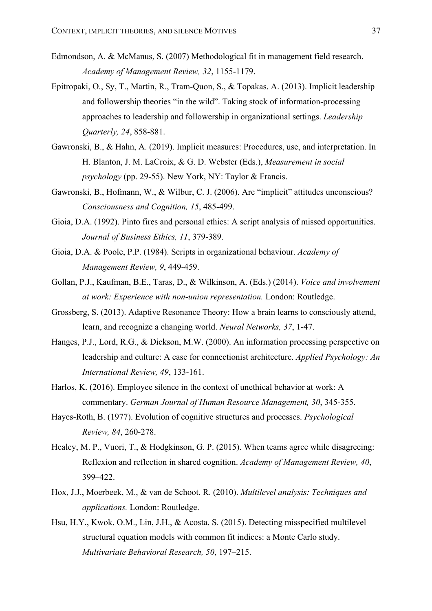- Edmondson, A. & McManus, S. (2007) Methodological fit in management field research. *Academy of Management Review, 32*, 1155-1179.
- Epitropaki, O., Sy, T., Martin, R., Tram-Quon, S., & Topakas. A. (2013). Implicit leadership and followership theories "in the wild". Taking stock of information-processing approaches to leadership and followership in organizational settings. *Leadership Quarterly, 24*, 858-881.
- Gawronski, B., & Hahn, A. (2019). Implicit measures: Procedures, use, and interpretation. In H. Blanton, J. M. LaCroix, & G. D. Webster (Eds.), *Measurement in social psychology* (pp. 29-55). New York, NY: Taylor & Francis.
- Gawronski, B., Hofmann, W., & Wilbur, C. J. (2006). Are "implicit" attitudes unconscious? *Consciousness and Cognition, 15*, 485-499.
- Gioia, D.A. (1992). Pinto fires and personal ethics: A script analysis of missed opportunities. *Journal of Business Ethics, 11*, 379-389.
- Gioia, D.A. & Poole, P.P. (1984). Scripts in organizational behaviour. *Academy of Management Review, 9*, 449-459.
- Gollan, P.J., Kaufman, B.E., Taras, D., & Wilkinson, A. (Eds.) (2014). *Voice and involvement at work: Experience with non-union representation.* London: Routledge.
- Grossberg, S. (2013). Adaptive Resonance Theory: How a brain learns to consciously attend, learn, and recognize a changing world. *Neural Networks, 37*, 1-47.
- Hanges, P.J., Lord, R.G., & Dickson, M.W. (2000). An information processing perspective on leadership and culture: A case for connectionist architecture. *Applied Psychology: An International Review, 49*, 133-161.
- Harlos, K. (2016). Employee silence in the context of unethical behavior at work: A commentary. *German Journal of Human Resource Management, 30*, 345-355.
- Hayes-Roth, B. (1977). Evolution of cognitive structures and processes. *Psychological Review, 84*, 260-278.
- Healey, M. P., Vuori, T., & Hodgkinson, G. P. (2015). When teams agree while disagreeing: Reflexion and reflection in shared cognition. *Academy of Management Review, 40*, 399–422.
- Hox, J.J., Moerbeek, M., & van de Schoot, R. (2010). *Multilevel analysis: Techniques and applications.* London: Routledge.
- Hsu, H.Y., Kwok, O.M., Lin, J.H., & Acosta, S. (2015). Detecting misspecified multilevel structural equation models with common fit indices: a Monte Carlo study. *Multivariate Behavioral Research, 50*, 197–215.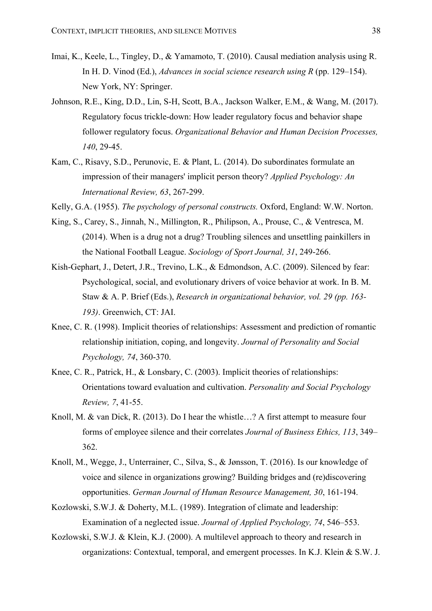- Imai, K., Keele, L., Tingley, D., & Yamamoto, T. (2010). Causal mediation analysis using R. In H. D. Vinod (Ed.), *Advances in social science research using R* (pp. 129–154). New York, NY: Springer.
- Johnson, R.E., King, D.D., Lin, S-H, Scott, B.A., Jackson Walker, E.M., & Wang, M. (2017). Regulatory focus trickle-down: How leader regulatory focus and behavior shape follower regulatory focus. *Organizational Behavior and Human Decision Processes, 140*, 29-45.
- Kam, C., Risavy, S.D., Perunovic, E. & Plant, L. (2014). Do subordinates formulate an impression of their managers' implicit person theory? *Applied Psychology: An International Review, 63*, 267-299.
- Kelly, G.A. (1955). *The psychology of personal constructs.* Oxford, England: W.W. Norton.
- King, S., Carey, S., Jinnah, N., Millington, R., Philipson, A., Prouse, C., & Ventresca, M. (2014). When is a drug not a drug? Troubling silences and unsettling painkillers in the National Football League. *Sociology of Sport Journal, 31*, 249-266.
- Kish-Gephart, J., Detert, J.R., Trevino, L.K., & Edmondson, A.C. (2009). Silenced by fear: Psychological, social, and evolutionary drivers of voice behavior at work. In B. M. Staw & A. P. Brief (Eds.), *Research in organizational behavior, vol. 29 (pp. 163- 193)*. Greenwich, CT: JAI.
- Knee, C. R. (1998). Implicit theories of relationships: Assessment and prediction of romantic relationship initiation, coping, and longevity. *Journal of Personality and Social Psychology, 74*, 360-370.
- Knee, C. R., Patrick, H., & Lonsbary, C. (2003). Implicit theories of relationships: Orientations toward evaluation and cultivation. *Personality and Social Psychology Review, 7*, 41-55.
- Knoll, M. & van Dick, R. (2013). Do I hear the whistle…? A first attempt to measure four forms of employee silence and their correlates *Journal of Business Ethics, 113*, 349– 362.
- Knoll, M., Wegge, J., Unterrainer, C., Silva, S., & Jønsson, T. (2016). Is our knowledge of voice and silence in organizations growing? Building bridges and (re)discovering opportunities. *German Journal of Human Resource Management, 30*, 161-194.
- Kozlowski, S.W.J. & Doherty, M.L. (1989). Integration of climate and leadership: Examination of a neglected issue. *Journal of Applied Psychology, 74*, 546–553.
- Kozlowski, S.W.J. & Klein, K.J. (2000). A multilevel approach to theory and research in organizations: Contextual, temporal, and emergent processes. In K.J. Klein & S.W. J.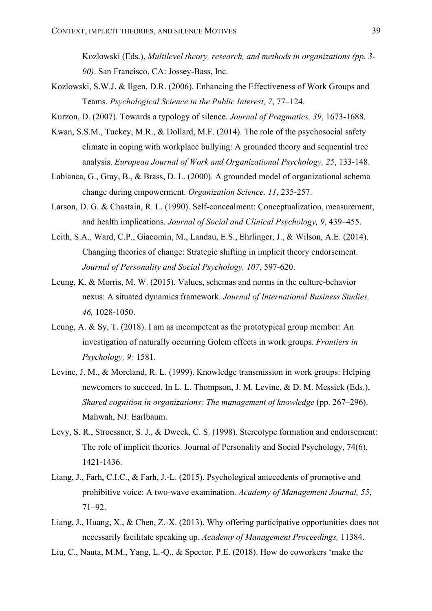Kozlowski (Eds.), *Multilevel theory, research, and methods in organizations (pp. 3- 90)*. San Francisco, CA: Jossey-Bass, Inc.

- Kozlowski, S.W.J. & Ilgen, D.R. (2006). Enhancing the Effectiveness of Work Groups and Teams. *Psychological Science in the Public Interest, 7*, 77–124.
- Kurzon, D. (2007). Towards a typology of silence. *Journal of Pragmatics, 39*, 1673-1688.
- Kwan, S.S.M., Tuckey, M.R., & Dollard, M.F. (2014). The role of the psychosocial safety climate in coping with workplace bullying: A grounded theory and sequential tree analysis. *European Journal of Work and Organizational Psychology, 25*, 133-148.
- Labianca, G., Gray, B., & Brass, D. L. (2000). A grounded model of organizational schema change during empowerment. *Organization Science, 11*, 235-257.
- Larson, D. G. & Chastain, R. L. (1990). Self-concealment: Conceptualization, measurement, and health implications. *Journal of Social and Clinical Psychology, 9*, 439–455.
- Leith, S.A., Ward, C.P., Giacomin, M., Landau, E.S., Ehrlinger, J., & Wilson, A.E. (2014). Changing theories of change: Strategic shifting in implicit theory endorsement. *Journal of Personality and Social Psychology, 107*, 597-620.
- Leung, K. & Morris, M. W. (2015). Values, schemas and norms in the culture-behavior nexus: A situated dynamics framework. *Journal of International Business Studies, 46,* 1028-1050.
- Leung, A. & Sy, T. (2018). I am as incompetent as the prototypical group member: An investigation of naturally occurring Golem effects in work groups. *Frontiers in Psychology, 9:* 1581.
- Levine, J. M., & Moreland, R. L. (1999). Knowledge transmission in work groups: Helping newcomers to succeed. In L. L. Thompson, J. M. Levine, & D. M. Messick (Eds.), *Shared cognition in organizations: The management of knowledge (pp. 267–296).* Mahwah, NJ: Earlbaum.
- Levy, S. R., Stroessner, S. J., & Dweck, C. S. (1998). Stereotype formation and endorsement: The role of implicit theories. Journal of Personality and Social Psychology, 74(6), 1421-1436.
- Liang, J., Farh, C.I.C., & Farh, J.-L. (2015). Psychological antecedents of promotive and prohibitive voice: A two-wave examination. *Academy of Management Journal, 55*, 71–92.
- Liang, J., Huang, X., & Chen, Z.-X. (2013). Why offering participative opportunities does not necessarily facilitate speaking up. *Academy of Management Proceedings,* 11384.
- Liu, C., Nauta, M.M., Yang, L.-Q., & Spector, P.E. (2018). How do coworkers 'make the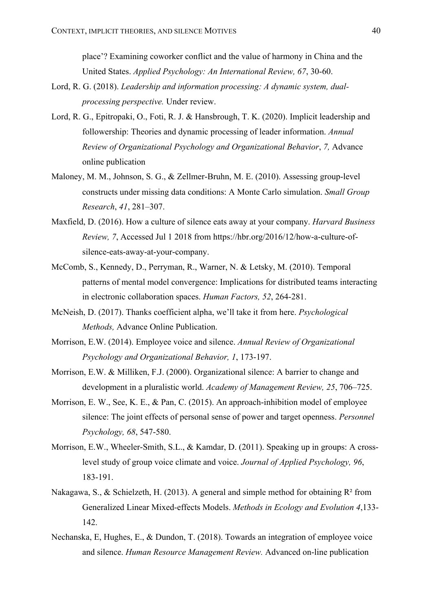place'? Examining coworker conflict and the value of harmony in China and the United States. *Applied Psychology: An International Review, 67*, 30-60.

- Lord, R. G. (2018). *Leadership and information processing: A dynamic system, dualprocessing perspective.* Under review.
- Lord, R. G., Epitropaki, O., Foti, R. J. & Hansbrough, T. K. (2020). Implicit leadership and followership: Theories and dynamic processing of leader information. *Annual Review of Organizational Psychology and Organizational Behavior*, *7,* Advance online publication
- Maloney, M. M., Johnson, S. G., & Zellmer-Bruhn, M. E. (2010). Assessing group-level constructs under missing data conditions: A Monte Carlo simulation. *Small Group Research*, *41*, 281–307.
- Maxfield, D. (2016). How a culture of silence eats away at your company. *Harvard Business Review, 7*, Accessed Jul 1 2018 from https://hbr.org/2016/12/how-a-culture-ofsilence-eats-away-at-your-company.
- McComb, S., Kennedy, D., Perryman, R., Warner, N. & Letsky, M. (2010). Temporal patterns of mental model convergence: Implications for distributed teams interacting in electronic collaboration spaces. *Human Factors, 52*, 264-281.
- McNeish, D. (2017). Thanks coefficient alpha, we'll take it from here. *Psychological Methods,* Advance Online Publication.
- Morrison, E.W. (2014). Employee voice and silence. *Annual Review of Organizational Psychology and Organizational Behavior, 1*, 173-197.
- Morrison, E.W. & Milliken, F.J. (2000). Organizational silence: A barrier to change and development in a pluralistic world. *Academy of Management Review, 25*, 706–725.
- Morrison, E. W., See, K. E., & Pan, C. (2015). An approach-inhibition model of employee silence: The joint effects of personal sense of power and target openness. *Personnel Psychology, 68*, 547-580.
- Morrison, E.W., Wheeler-Smith, S.L., & Kamdar, D. (2011). Speaking up in groups: A crosslevel study of group voice climate and voice. *Journal of Applied Psychology, 96*, 183-191.
- Nakagawa, S., & Schielzeth, H. (2013). A general and simple method for obtaining  $R^2$  from Generalized Linear Mixed-effects Models. *Methods in Ecology and Evolution 4*,133- 142.
- Nechanska, E, Hughes, E., & Dundon, T. (2018). Towards an integration of employee voice and silence. *Human Resource Management Review.* Advanced on-line publication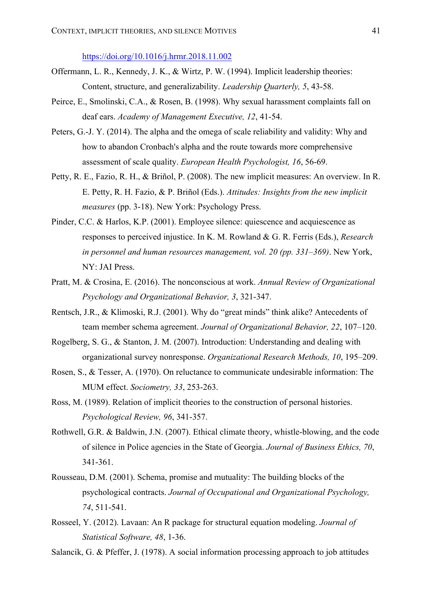https://doi.org/10.1016/j.hrmr.2018.11.002

- Offermann, L. R., Kennedy, J. K., & Wirtz, P. W. (1994). Implicit leadership theories: Content, structure, and generalizability. *Leadership Quarterly, 5*, 43-58.
- Peirce, E., Smolinski, C.A., & Rosen, B. (1998). Why sexual harassment complaints fall on deaf ears. *Academy of Management Executive, 12*, 41-54.
- Peters, G.-J. Y. (2014). The alpha and the omega of scale reliability and validity: Why and how to abandon Cronbach's alpha and the route towards more comprehensive assessment of scale quality. *European Health Psychologist, 16*, 56-69.
- Petty, R. E., Fazio, R. H., & Briñol, P. (2008). The new implicit measures: An overview. In R. E. Petty, R. H. Fazio, & P. Briñol (Eds.). *Attitudes: Insights from the new implicit measures* (pp. 3-18). New York: Psychology Press.
- Pinder, C.C. & Harlos, K.P. (2001). Employee silence: quiescence and acquiescence as responses to perceived injustice. In K. M. Rowland & G. R. Ferris (Eds.), *Research in personnel and human resources management, vol. 20 (pp. 331–369)*. New York, NY: JAI Press.
- Pratt, M. & Crosina, E. (2016). The nonconscious at work. *Annual Review of Organizational Psychology and Organizational Behavior, 3*, 321-347.
- Rentsch, J.R., & Klimoski, R.J. (2001). Why do "great minds" think alike? Antecedents of team member schema agreement. *Journal of Organizational Behavior, 22*, 107–120.
- Rogelberg, S. G., & Stanton, J. M. (2007). Introduction: Understanding and dealing with organizational survey nonresponse. *Organizational Research Methods, 10*, 195–209.
- Rosen, S., & Tesser, A. (1970). On reluctance to communicate undesirable information: The MUM effect. *Sociometry, 33*, 253-263.
- Ross, M. (1989). Relation of implicit theories to the construction of personal histories. *Psychological Review, 96*, 341-357.
- Rothwell, G.R. & Baldwin, J.N. (2007). Ethical climate theory, whistle-blowing, and the code of silence in Police agencies in the State of Georgia. *Journal of Business Ethics, 70*, 341-361.
- Rousseau, D.M. (2001). Schema, promise and mutuality: The building blocks of the psychological contracts. *Journal of Occupational and Organizational Psychology, 74*, 511-541.
- Rosseel, Y. (2012). Lavaan: An R package for structural equation modeling. *Journal of Statistical Software, 48*, 1-36.
- Salancik, G. & Pfeffer, J. (1978). A social information processing approach to job attitudes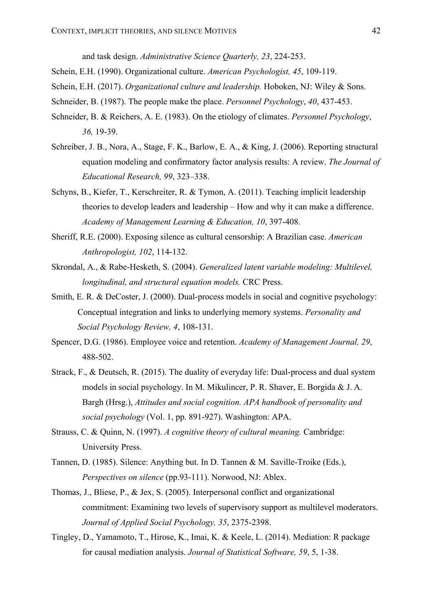and task design. *Administrative Science Quarterly, 23*, 224-253.

- Schein, E.H. (1990). Organizational culture. *American Psychologist, 45*, 109-119.
- Schein, E.H. (2017). *Organizational culture and leadership.* Hoboken, NJ: Wiley & Sons.
- Schneider, B. (1987). The people make the place. *Personnel Psychology*, *40*, 437-453.
- Schneider, B. & Reichers, A. E. (1983). On the etiology of climates. *Personnel Psychology*, *36,* 19-39.
- Schreiber, J. B., Nora, A., Stage, F. K., Barlow, E. A., & King, J. (2006). Reporting structural equation modeling and confirmatory factor analysis results: A review. *The Journal of Educational Research, 99*, 323–338.
- Schyns, B., Kiefer, T., Kerschreiter, R. & Tymon, A. (2011). Teaching implicit leadership theories to develop leaders and leadership – How and why it can make a difference. *Academy of Management Learning & Education, 10*, 397-408.
- Sheriff, R.E. (2000). Exposing silence as cultural censorship: A Brazilian case. *American Anthropologist, 102*, 114-132.
- Skrondal, A., & Rabe-Hesketh, S. (2004). *Generalized latent variable modeling: Multilevel, longitudinal, and structural equation models.* CRC Press.
- Smith, E. R. & DeCoster, J. (2000). Dual-process models in social and cognitive psychology: Conceptual integration and links to underlying memory systems. *Personality and Social Psychology Review, 4*, 108-131.
- Spencer, D.G. (1986). Employee voice and retention. *Academy of Management Journal, 29*, 488-502.
- Strack, F., & Deutsch, R. (2015). The duality of everyday life: Dual-process and dual system models in social psychology. In M. Mikulincer, P. R. Shaver, E. Borgida & J. A. Bargh (Hrsg.), *Attitudes and social cognition. APA handbook of personality and social psychology* (Vol. 1, pp. 891-927). Washington: APA.
- Strauss, C. & Quinn, N. (1997). *A cognitive theory of cultural meaning.* Cambridge: University Press.
- Tannen, D. (1985). Silence: Anything but. In D. Tannen & M. Saville-Troike (Eds.), *Perspectives on silence* (pp.93-111). Norwood, NJ: Ablex.
- Thomas, J., Bliese, P., & Jex, S. (2005). Interpersonal conflict and organizational commitment: Examining two levels of supervisory support as multilevel moderators. *Journal of Applied Social Psychology, 35*, 2375-2398.
- Tingley, D., Yamamoto, T., Hirose, K., Imai, K. & Keele, L. (2014). Mediation: R package for causal mediation analysis. *Journal of Statistical Software, 59*, 5, 1-38.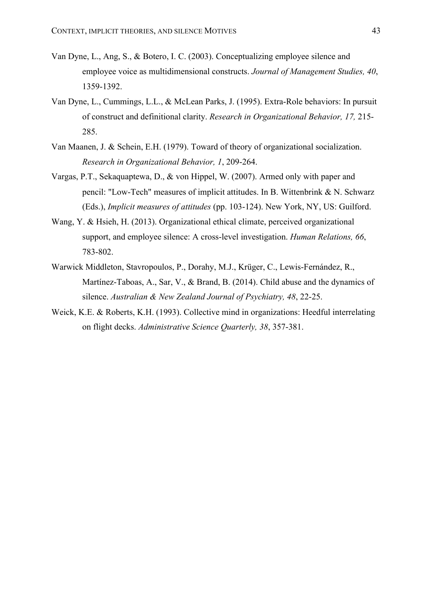- Van Dyne, L., Ang, S., & Botero, I. C. (2003). Conceptualizing employee silence and employee voice as multidimensional constructs. *Journal of Management Studies, 40*, 1359-1392.
- Van Dyne, L., Cummings, L.L., & McLean Parks, J. (1995). Extra-Role behaviors: In pursuit of construct and definitional clarity. *Research in Organizational Behavior, 17,* 215- 285.
- Van Maanen, J. & Schein, E.H. (1979). Toward of theory of organizational socialization. *Research in Organizational Behavior, 1*, 209-264.
- Vargas, P.T., Sekaquaptewa, D., & von Hippel, W. (2007). Armed only with paper and pencil: "Low-Tech" measures of implicit attitudes. In B. Wittenbrink & N. Schwarz (Eds.), *Implicit measures of attitudes* (pp. 103-124). New York, NY, US: Guilford.
- Wang, Y. & Hsieh, H. (2013). Organizational ethical climate, perceived organizational support, and employee silence: A cross-level investigation. *Human Relations, 66*, 783-802.
- Warwick Middleton, Stavropoulos, P., Dorahy, M.J., Krüger, C., Lewis-Fernández, R., Martínez-Taboas, A., Sar, V., & Brand, B. (2014). Child abuse and the dynamics of silence. *Australian & New Zealand Journal of Psychiatry, 48*, 22-25.
- Weick, K.E. & Roberts, K.H. (1993). Collective mind in organizations: Heedful interrelating on flight decks. *Administrative Science Quarterly, 38*, 357-381.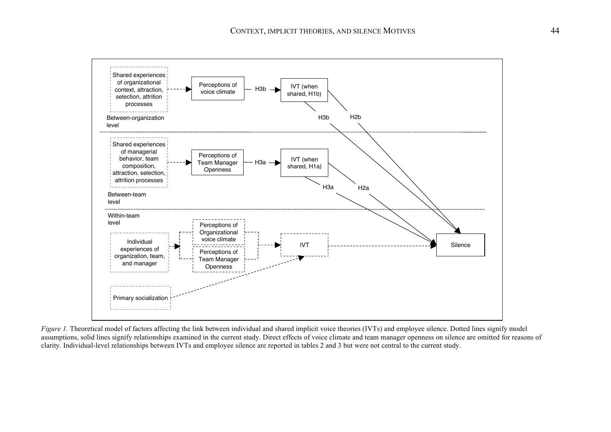

*Figure 1*. Theoretical model of factors affecting the link between individual and shared implicit voice theories (IVTs) and employee silence. Dotted lines signify model assumptions, solid lines signify relationships examined in the current study. Direct effects of voice climate and team manager openness on silence are omitted for reasons of clarity. Individual-level relationships between IVTs and employee silence are reported in tables 2 and 3 but were not central to the current study.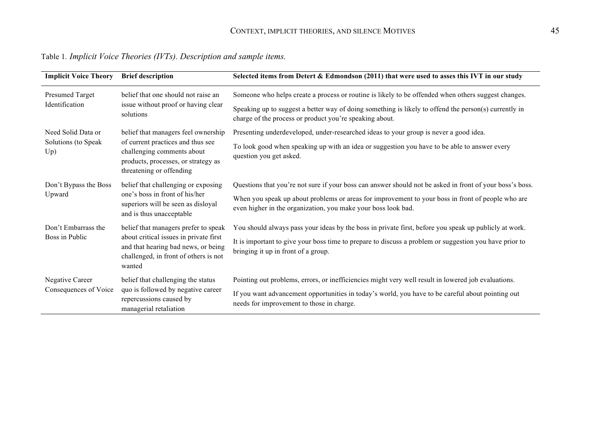| <b>Implicit Voice Theory</b>      | <b>Brief description</b>                                                                                                                                                 | Selected items from Detert & Edmondson (2011) that were used to asses this IVT in our study                                                                        |  |  |  |  |  |
|-----------------------------------|--------------------------------------------------------------------------------------------------------------------------------------------------------------------------|--------------------------------------------------------------------------------------------------------------------------------------------------------------------|--|--|--|--|--|
| Presumed Target<br>Identification | belief that one should not raise an                                                                                                                                      | Someone who helps create a process or routine is likely to be offended when others suggest changes.                                                                |  |  |  |  |  |
|                                   | issue without proof or having clear<br>solutions                                                                                                                         | Speaking up to suggest a better way of doing something is likely to offend the person(s) currently in<br>charge of the process or product you're speaking about.   |  |  |  |  |  |
| Need Solid Data or                | belief that managers feel ownership                                                                                                                                      | Presenting underdeveloped, under-researched ideas to your group is never a good idea.                                                                              |  |  |  |  |  |
| Solutions (to Speak<br>Up)        | of current practices and thus see<br>challenging comments about<br>products, processes, or strategy as<br>threatening or offending                                       | To look good when speaking up with an idea or suggestion you have to be able to answer every<br>question you get asked.                                            |  |  |  |  |  |
| Don't Bypass the Boss             | belief that challenging or exposing                                                                                                                                      | Questions that you're not sure if your boss can answer should not be asked in front of your boss's boss.                                                           |  |  |  |  |  |
| Upward                            | one's boss in front of his/her<br>superiors will be seen as disloyal<br>and is thus unacceptable                                                                         | When you speak up about problems or areas for improvement to your boss in front of people who are<br>even higher in the organization, you make your boss look bad. |  |  |  |  |  |
| Don't Embarrass the               | belief that managers prefer to speak<br>about critical issues in private first<br>and that hearing bad news, or being<br>challenged, in front of others is not<br>wanted | You should always pass your ideas by the boss in private first, before you speak up publicly at work.                                                              |  |  |  |  |  |
| Boss in Public                    |                                                                                                                                                                          | It is important to give your boss time to prepare to discuss a problem or suggestion you have prior to<br>bringing it up in front of a group.                      |  |  |  |  |  |
| Negative Career                   | belief that challenging the status                                                                                                                                       | Pointing out problems, errors, or inefficiencies might very well result in lowered job evaluations.                                                                |  |  |  |  |  |
| Consequences of Voice             | quo is followed by negative career<br>repercussions caused by<br>managerial retaliation                                                                                  | If you want advancement opportunities in today's world, you have to be careful about pointing out<br>needs for improvement to those in charge.                     |  |  |  |  |  |

Table 1*. Implicit Voice Theories (IVTs). Description and sample items.*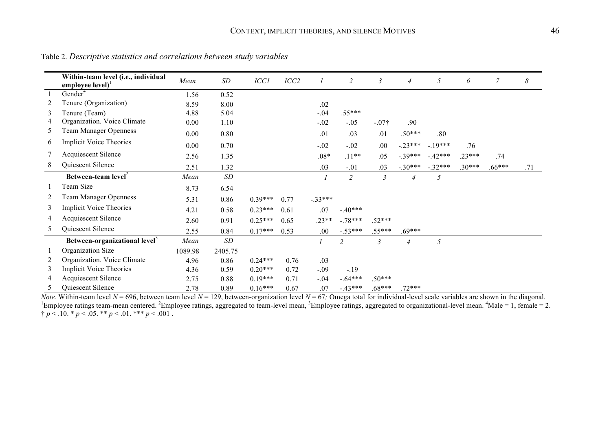|    | Within-team level (i.e., individual<br>employee $level$ <sup>1</sup> | Mean    | SD                        | <b>ICC1</b> | ICC2 |           | $\overline{c}$ | $\mathfrak{Z}$ | $\overline{4}$ | 5        | 6        | $\overline{7}$ | $\boldsymbol{\delta}$ |
|----|----------------------------------------------------------------------|---------|---------------------------|-------------|------|-----------|----------------|----------------|----------------|----------|----------|----------------|-----------------------|
|    | Gender <sup>4</sup>                                                  | 1.56    | 0.52                      |             |      |           |                |                |                |          |          |                |                       |
| 2  | Tenure (Organization)                                                | 8.59    | 8.00                      |             |      | .02       |                |                |                |          |          |                |                       |
| 3  | Tenure (Team)                                                        | 4.88    | 5.04                      |             |      | $-.04$    | $.55***$       |                |                |          |          |                |                       |
| 4  | Organization. Voice Climate                                          | 0.00    | 1.10                      |             |      | $-.02$    | $-.05$         | $-.07\dagger$  | .90            |          |          |                |                       |
| 5  | <b>Team Manager Openness</b>                                         | 0.00    | 0.80                      |             |      | .01       | .03            | .01            | $.50***$       | .80      |          |                |                       |
| 6  | <b>Implicit Voice Theories</b>                                       | 0.00    | 0.70                      |             |      | $-.02$    | $-.02$         | .00            | $-.23***$      | $-19***$ | .76      |                |                       |
| 7  | Acquiescent Silence                                                  | 2.56    | 1.35                      |             |      | $.08*$    | $.11**$        | .05            | $-.39***$      | $-42***$ | $.23***$ | .74            |                       |
| 8  | Quiescent Silence                                                    | 2.51    | 1.32                      |             |      | .03       | $-.01$         | .03            | $-.30***$      | $-32***$ | $.30***$ | $.66***$       | .71                   |
|    | Between-team level <sup>2</sup>                                      | Mean    | $\ensuremath{\mathit SD}$ |             |      |           | $\overline{c}$ | 3              | $\overline{4}$ | 5        |          |                |                       |
|    | Team Size                                                            | 8.73    | 6.54                      |             |      |           |                |                |                |          |          |                |                       |
| 2  | <b>Team Manager Openness</b>                                         | 5.31    | 0.86                      | $0.39***$   | 0.77 | $-.33***$ |                |                |                |          |          |                |                       |
| 3  | <b>Implicit Voice Theories</b>                                       | 4.21    | 0.58                      | $0.23***$   | 0.61 | .07       | $-40***$       |                |                |          |          |                |                       |
| 4  | <b>Acquiescent Silence</b>                                           | 2.60    | 0.91                      | $0.25***$   | 0.65 | $.23**$   | $-.78***$      | $.52***$       |                |          |          |                |                       |
| 5  | Quiescent Silence                                                    | 2.55    | 0.84                      | $0.17***$   | 0.53 | .00       | $-.53***$      | $.55***$       | $.69***$       |          |          |                |                       |
|    | Between-organizational level <sup>3</sup>                            | Mean    | $\boldsymbol{SD}$         |             |      |           | 2              | 3              | $\overline{4}$ | 5        |          |                |                       |
|    | Organization Size                                                    | 1089.98 | 2405.75                   |             |      |           |                |                |                |          |          |                |                       |
| 2  | Organization. Voice Climate                                          | 4.96    | 0.86                      | $0.24***$   | 0.76 | .03       |                |                |                |          |          |                |                       |
| 3  | <b>Implicit Voice Theories</b>                                       | 4.36    | 0.59                      | $0.20***$   | 0.72 | $-.09$    | $-19$          |                |                |          |          |                |                       |
| 4  | Acquiescent Silence                                                  | 2.75    | 0.88                      | $0.19***$   | 0.71 | $-.04$    | $-.64***$      | $.50***$       |                |          |          |                |                       |
| 5. | Quiescent Silence                                                    | 2.78    | 0.89                      | $0.16***$   | 0.67 | .07       | $-43***$       | $.68***$       | $.72***$       |          |          |                |                       |

Table 2. *Descriptive statistics and correlations between study variables*

*Note*. Within-team level *N* = 696, between team level *N* = 129, between-organization level *N* = 67; Omega total for individual-level scale variables are shown in the diagonal.<br><sup>1</sup>Employee ratings team-mean centered. <sup></sup>  $\uparrow p < .10.$  \*  $p < .05.$  \*\*  $p < .01.$  \*\*\*  $p < .001$ .